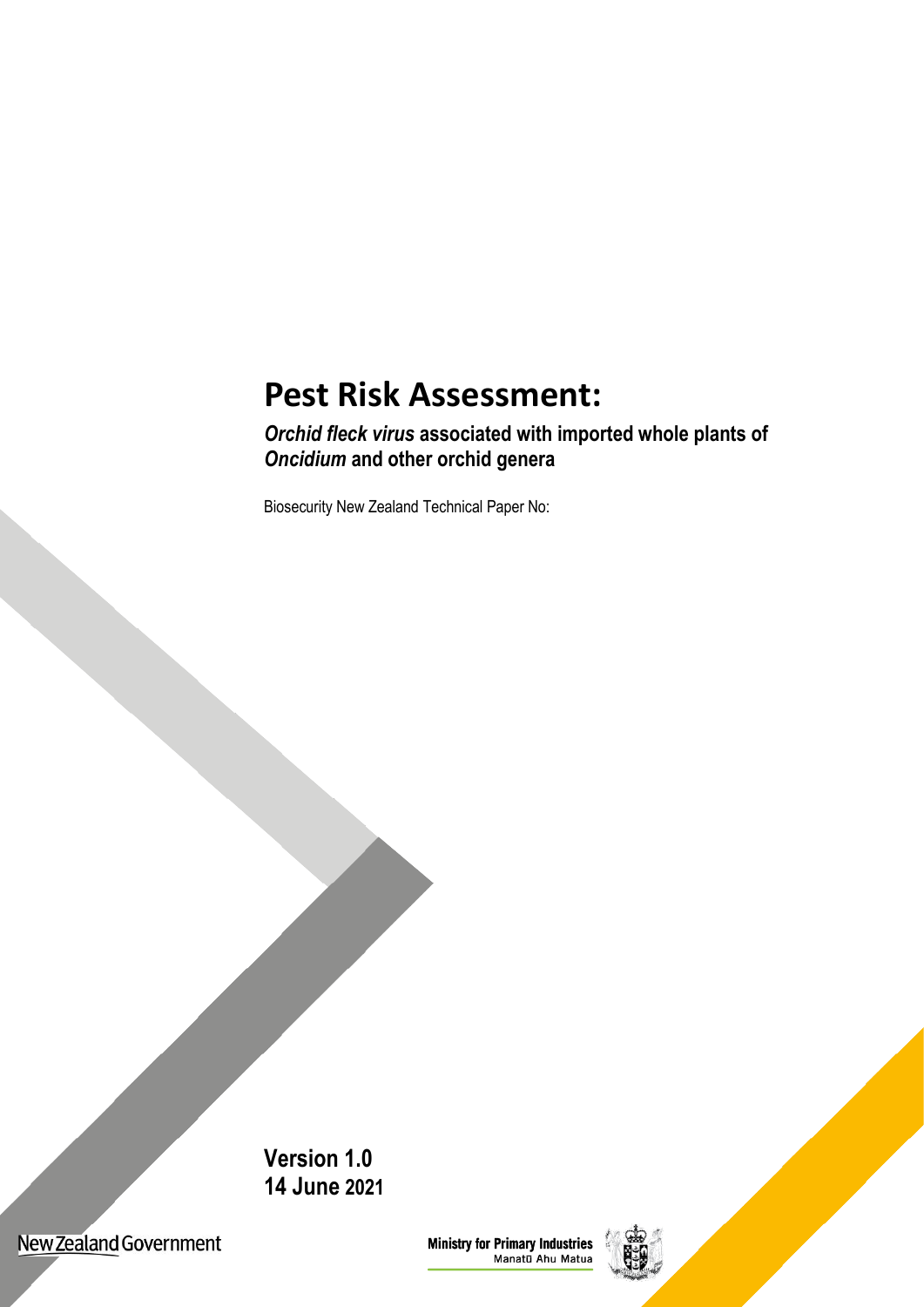# **Pest Risk Assessment:**

*Orchid fleck virus* **associated with imported whole plants of** *Oncidium* **and other orchid genera**

Biosecurity New Zealand Technical Paper No:

**Version 1.0 14 June 2021**

New Zealand Government

**Ministry for Primary Industries**<br>Manatū Ahu Matua

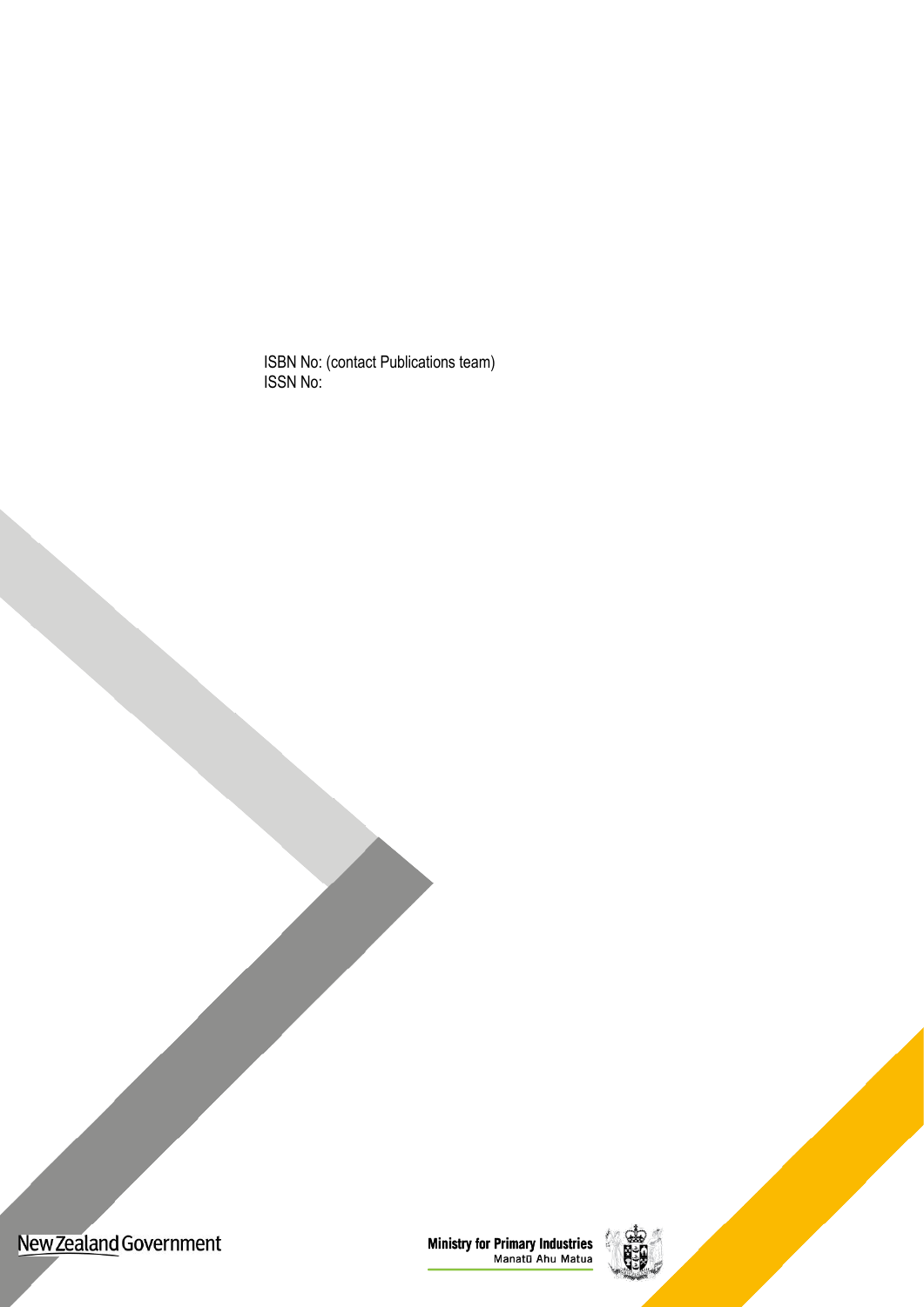ISBN No: (contact Publications team) ISSN No:



**Ministry for Primary Industries**<br>Manatū Ahu Matua

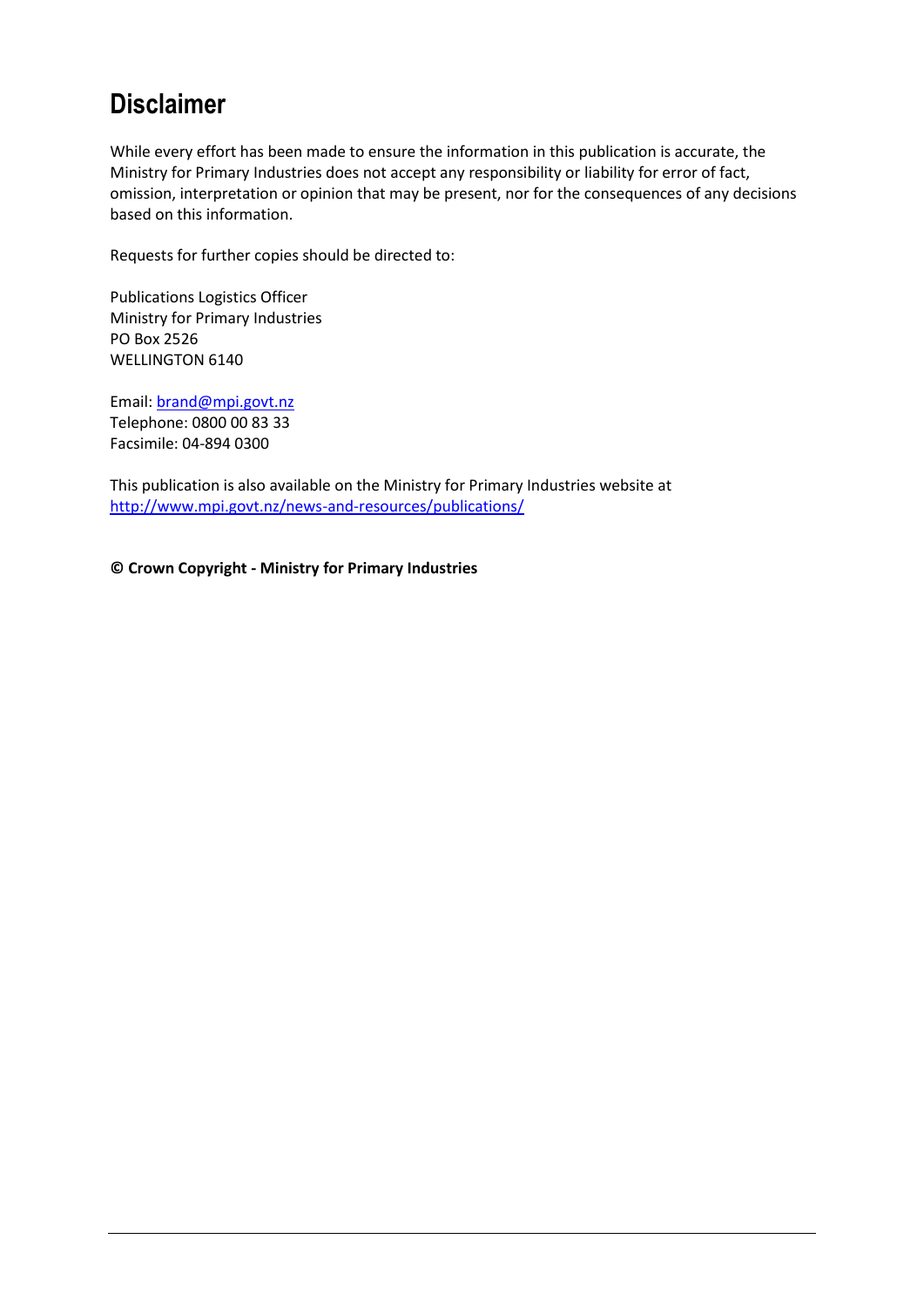# **Disclaimer**

While every effort has been made to ensure the information in this publication is accurate, the Ministry for Primary Industries does not accept any responsibility or liability for error of fact, omission, interpretation or opinion that may be present, nor for the consequences of any decisions based on this information.

Requests for further copies should be directed to:

Publications Logistics Officer Ministry for Primary Industries PO Box 2526 WELLINGTON 6140

Email: [brand@mpi.govt.nz](mailto:brand@mpi.govt.nz) Telephone: 0800 00 83 33 Facsimile: 04-894 0300

This publication is also available on the Ministry for Primary Industries website at <http://www.mpi.govt.nz/news-and-resources/publications/>

**© Crown Copyright - Ministry for Primary Industries**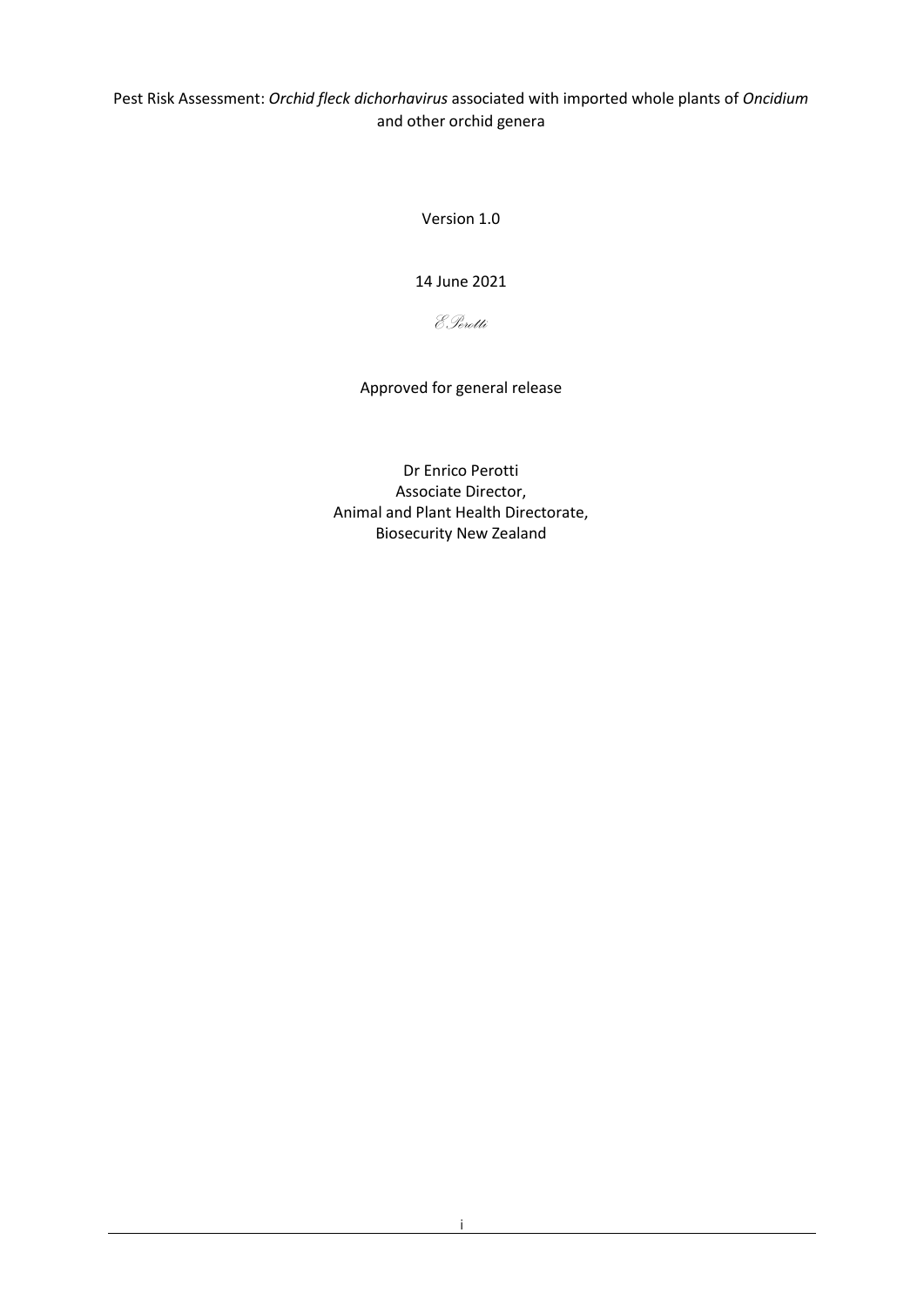Pest Risk Assessment: *Orchid fleck dichorhavirus* associated with imported whole plants of *Oncidium* and other orchid genera

Version 1.0

14 June 2021

*EPerotti*

Approved for general release

Dr Enrico Perotti Associate Director, Animal and Plant Health Directorate, Biosecurity New Zealand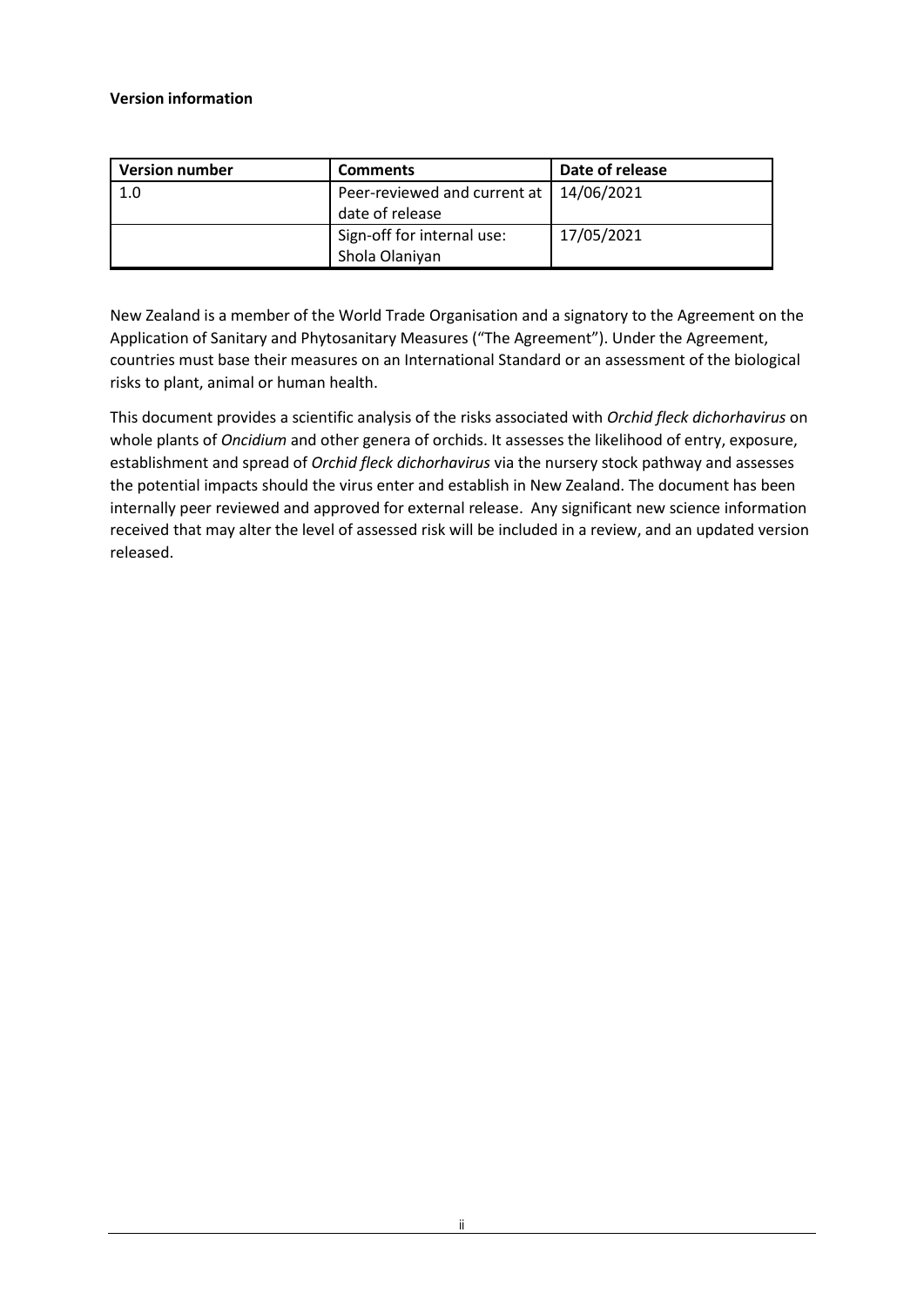#### **Version information**

| <b>Version number</b> | <b>Comments</b>                                   | Date of release |
|-----------------------|---------------------------------------------------|-----------------|
| 1.0                   | Peer-reviewed and current at  <br>date of release | 14/06/2021      |
|                       | Sign-off for internal use:<br>Shola Olaniyan      | 17/05/2021      |

New Zealand is a member of the World Trade Organisation and a signatory to the Agreement on the Application of Sanitary and Phytosanitary Measures ("The Agreement"). Under the Agreement, countries must base their measures on an International Standard or an assessment of the biological risks to plant, animal or human health.

This document provides a scientific analysis of the risks associated with *Orchid fleck dichorhavirus* on whole plants of *Oncidium* and other genera of orchids. It assesses the likelihood of entry, exposure, establishment and spread of *Orchid fleck dichorhavirus* via the nursery stock pathway and assesses the potential impacts should the virus enter and establish in New Zealand. The document has been internally peer reviewed and approved for external release. Any significant new science information received that may alter the level of assessed risk will be included in a review, and an updated version released.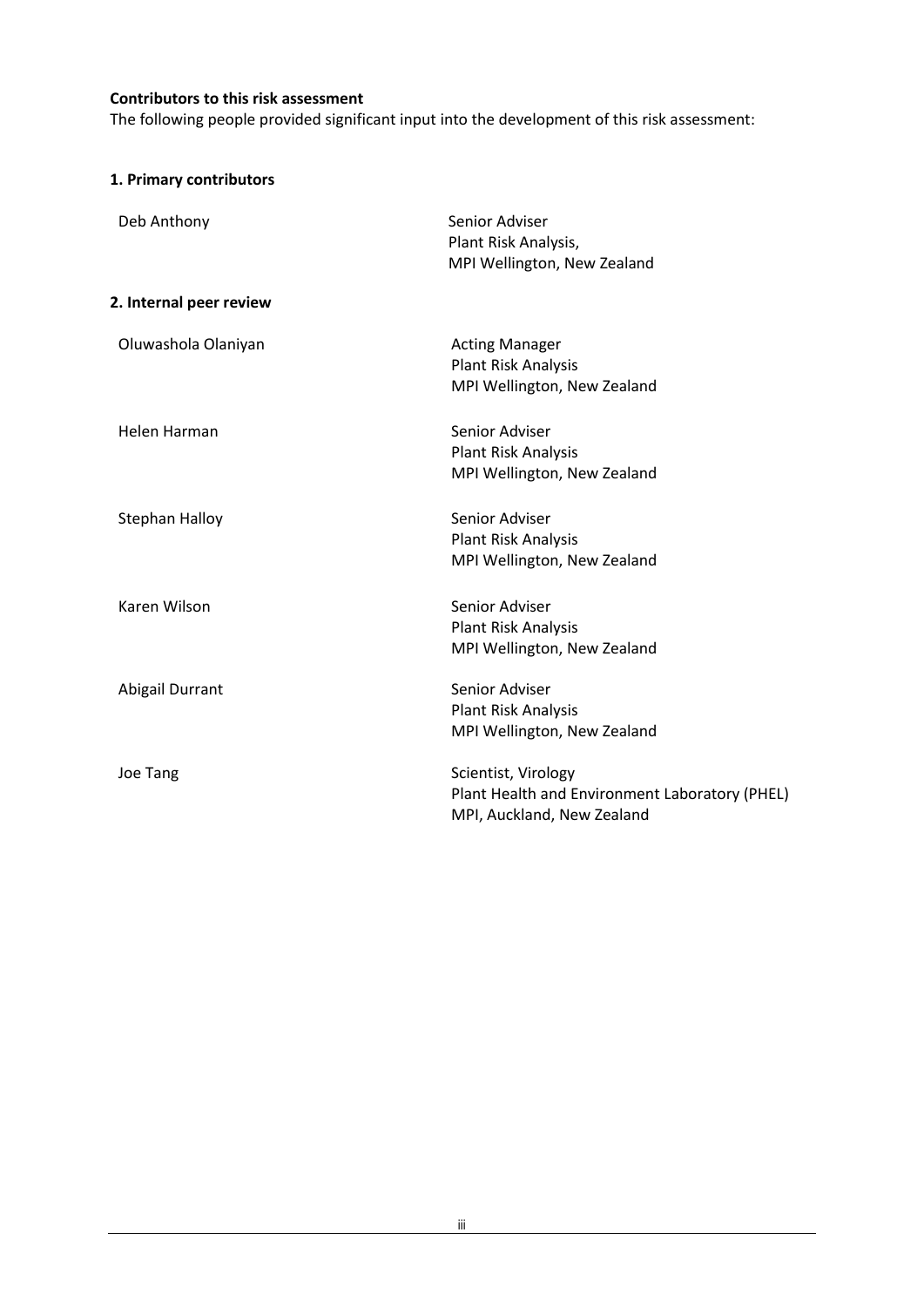#### **Contributors to this risk assessment**

The following people provided significant input into the development of this risk assessment:

|  |  | 1. Primary contributors |
|--|--|-------------------------|
|--|--|-------------------------|

| Deb Anthony             | Senior Adviser<br>Plant Risk Analysis,<br>MPI Wellington, New Zealand                               |
|-------------------------|-----------------------------------------------------------------------------------------------------|
| 2. Internal peer review |                                                                                                     |
| Oluwashola Olaniyan     | <b>Acting Manager</b><br><b>Plant Risk Analysis</b><br>MPI Wellington, New Zealand                  |
| <b>Helen Harman</b>     | Senior Adviser<br>Plant Risk Analysis<br>MPI Wellington, New Zealand                                |
| Stephan Halloy          | Senior Adviser<br>Plant Risk Analysis<br>MPI Wellington, New Zealand                                |
| Karen Wilson            | Senior Adviser<br>Plant Risk Analysis<br>MPI Wellington, New Zealand                                |
| Abigail Durrant         | Senior Adviser<br>Plant Risk Analysis<br>MPI Wellington, New Zealand                                |
| Joe Tang                | Scientist, Virology<br>Plant Health and Environment Laboratory (PHEL)<br>MPI, Auckland, New Zealand |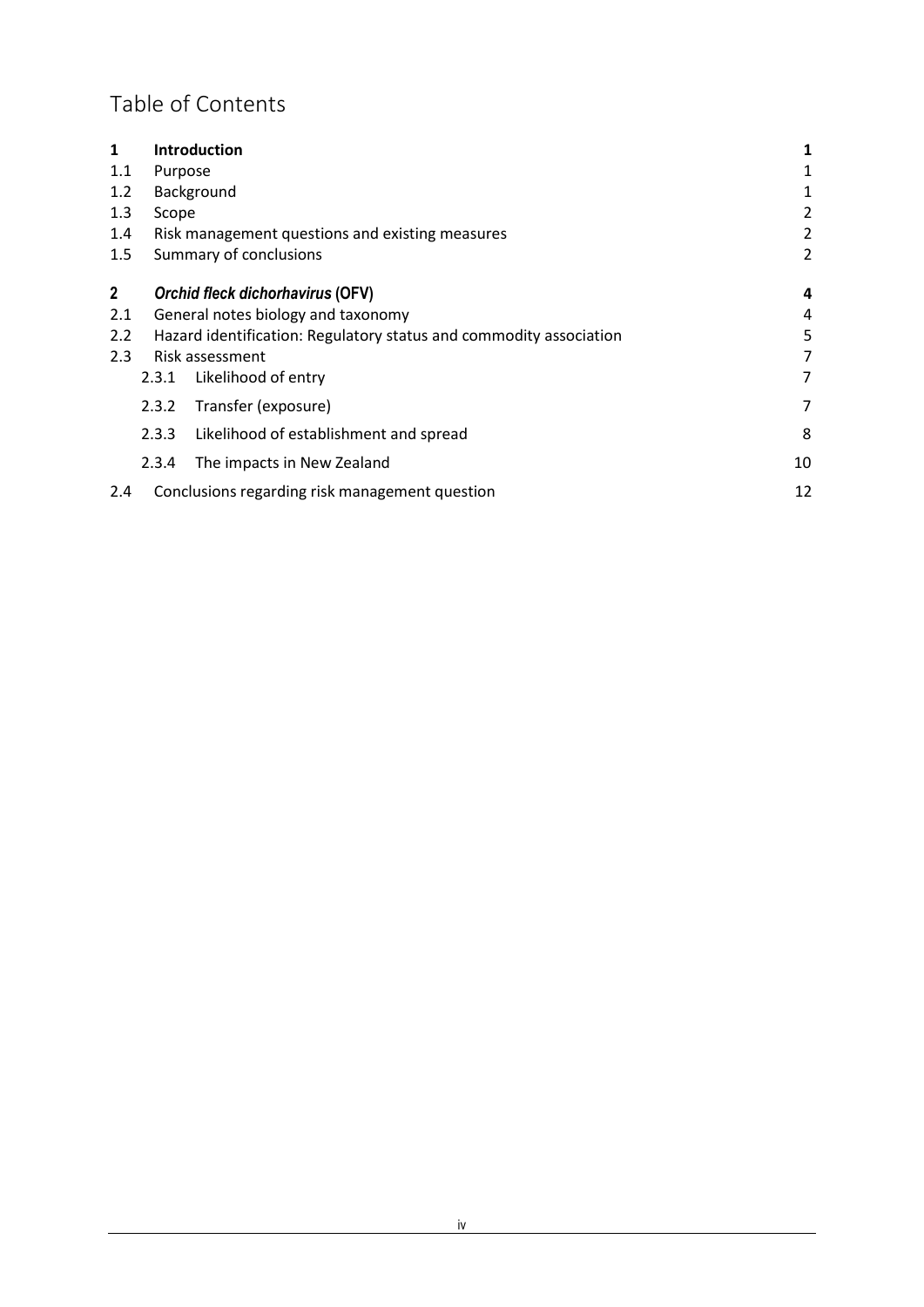# Table of Contents

| 1            |         | <b>Introduction</b>                                                | 1              |
|--------------|---------|--------------------------------------------------------------------|----------------|
| 1.1          | Purpose |                                                                    | 1              |
| 1.2          |         | Background                                                         | 1              |
| 1.3          | Scope   |                                                                    | $\overline{2}$ |
| 1.4          |         | Risk management questions and existing measures                    | $\overline{2}$ |
| 1.5          |         | Summary of conclusions                                             | $\overline{2}$ |
| $\mathbf{2}$ |         | Orchid fleck dichorhavirus (OFV)                                   | 4              |
| 2.1          |         | General notes biology and taxonomy                                 | 4              |
| 2.2          |         | Hazard identification: Regulatory status and commodity association | 5              |
| 2.3          |         | Risk assessment                                                    | 7              |
|              | 2.3.1   | Likelihood of entry                                                | 7              |
|              | 2.3.2   | Transfer (exposure)                                                | 7              |
|              | 2.3.3   | Likelihood of establishment and spread                             | 8              |
|              | 2.3.4   | The impacts in New Zealand                                         | 10             |
| 2.4          |         | Conclusions regarding risk management question                     | 12             |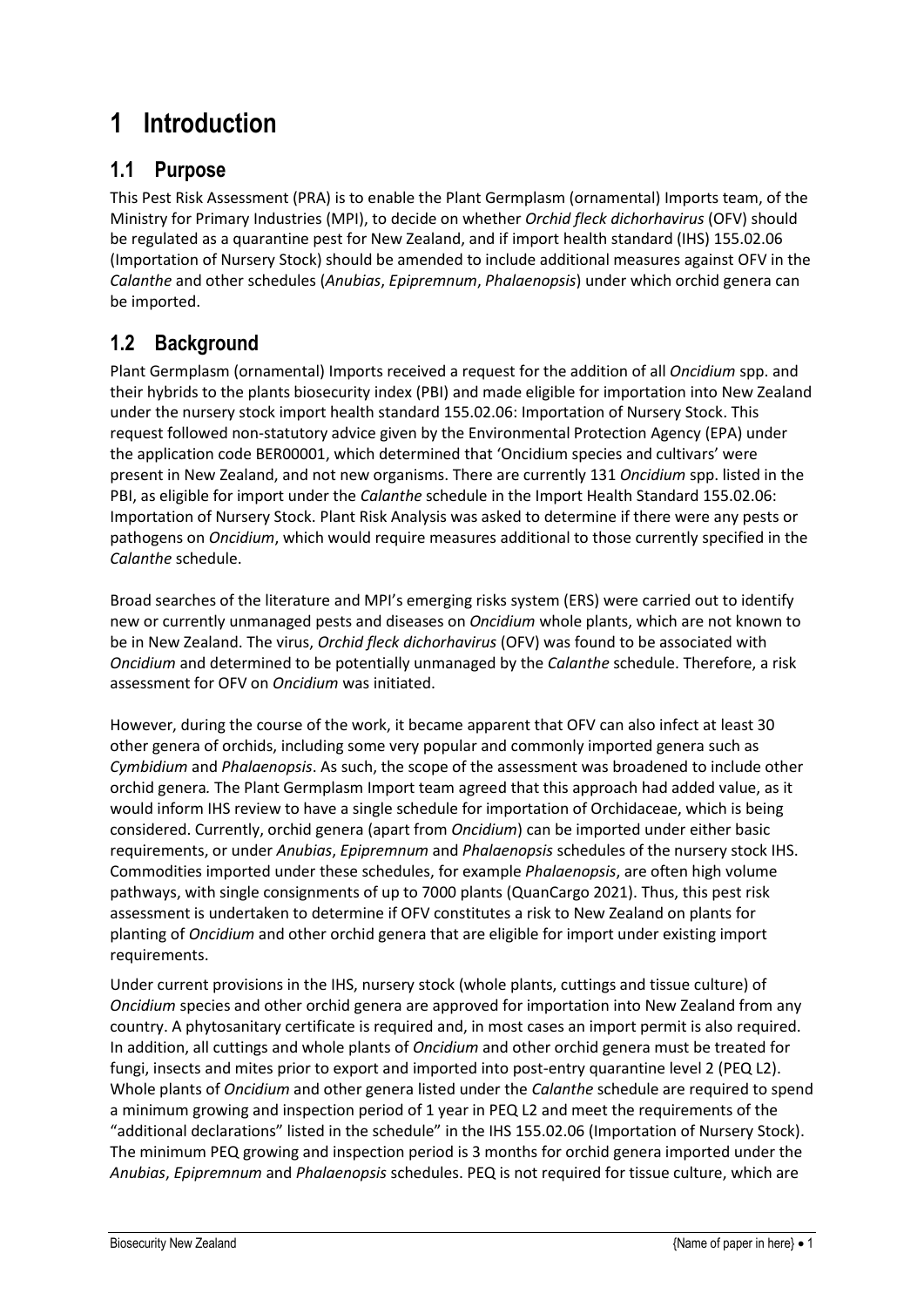# <span id="page-7-0"></span>**1 Introduction**

# <span id="page-7-1"></span>**1.1 Purpose**

This Pest Risk Assessment (PRA) is to enable the Plant Germplasm (ornamental) Imports team, of the Ministry for Primary Industries (MPI), to decide on whether *Orchid fleck dichorhavirus* (OFV) should be regulated as a quarantine pest for New Zealand, and if import health standard (IHS) 155.02.06 (Importation of Nursery Stock) should be amended to include additional measures against OFV in the *Calanthe* and other schedules (*Anubias*, *Epipremnum*, *Phalaenopsis*) under which orchid genera can be imported.

# <span id="page-7-2"></span>**1.2 Background**

Plant Germplasm (ornamental) Imports received a request for the addition of all *Oncidium* spp. and their hybrids to the plants biosecurity index (PBI) and made eligible for importation into New Zealand under the nursery stock import health standard 155.02.06: Importation of Nursery Stock. This request followed non-statutory advice given by the Environmental Protection Agency (EPA) under the application code BER00001, which determined that 'Oncidium species and cultivars' were present in New Zealand, and not new organisms. There are currently 131 *Oncidium* spp. listed in the PBI, as eligible for import under the *Calanthe* schedule in the Import Health Standard 155.02.06: Importation of Nursery Stock. Plant Risk Analysis was asked to determine if there were any pests or pathogens on *Oncidium*, which would require measures additional to those currently specified in the *Calanthe* schedule.

Broad searches of the literature and MPI's emerging risks system (ERS) were carried out to identify new or currently unmanaged pests and diseases on *Oncidium* whole plants, which are not known to be in New Zealand. The virus, *Orchid fleck dichorhavirus* (OFV) was found to be associated with *Oncidium* and determined to be potentially unmanaged by the *Calanthe* schedule. Therefore, a risk assessment for OFV on *Oncidium* was initiated.

However, during the course of the work, it became apparent that OFV can also infect at least 30 other genera of orchids, including some very popular and commonly imported genera such as *Cymbidium* and *Phalaenopsis*. As such, the scope of the assessment was broadened to include other orchid genera*.* The Plant Germplasm Import team agreed that this approach had added value, as it would inform IHS review to have a single schedule for importation of Orchidaceae, which is being considered. Currently, orchid genera (apart from *Oncidium*) can be imported under either basic requirements, or under *Anubias*, *Epipremnum* and *Phalaenopsis* schedules of the nursery stock IHS. Commodities imported under these schedules, for example *Phalaenopsis*, are often high volume pathways, with single consignments of up to 7000 plants (QuanCargo 2021). Thus, this pest risk assessment is undertaken to determine if OFV constitutes a risk to New Zealand on plants for planting of *Oncidium* and other orchid genera that are eligible for import under existing import requirements.

Under current provisions in the IHS, nursery stock (whole plants, cuttings and tissue culture) of *Oncidium* species and other orchid genera are approved for importation into New Zealand from any country. A phytosanitary certificate is required and, in most cases an import permit is also required. In addition, all cuttings and whole plants of *Oncidium* and other orchid genera must be treated for fungi, insects and mites prior to export and imported into post-entry quarantine level 2 (PEQ L2). Whole plants of *Oncidium* and other genera listed under the *Calanthe* schedule are required to spend a minimum growing and inspection period of 1 year in PEQ L2 and meet the requirements of the "additional declarations" listed in the schedule" in the IHS 155.02.06 (Importation of Nursery Stock). The minimum PEQ growing and inspection period is 3 months for orchid genera imported under the *Anubias*, *Epipremnum* and *Phalaenopsis* schedules. PEQ is not required for tissue culture, which are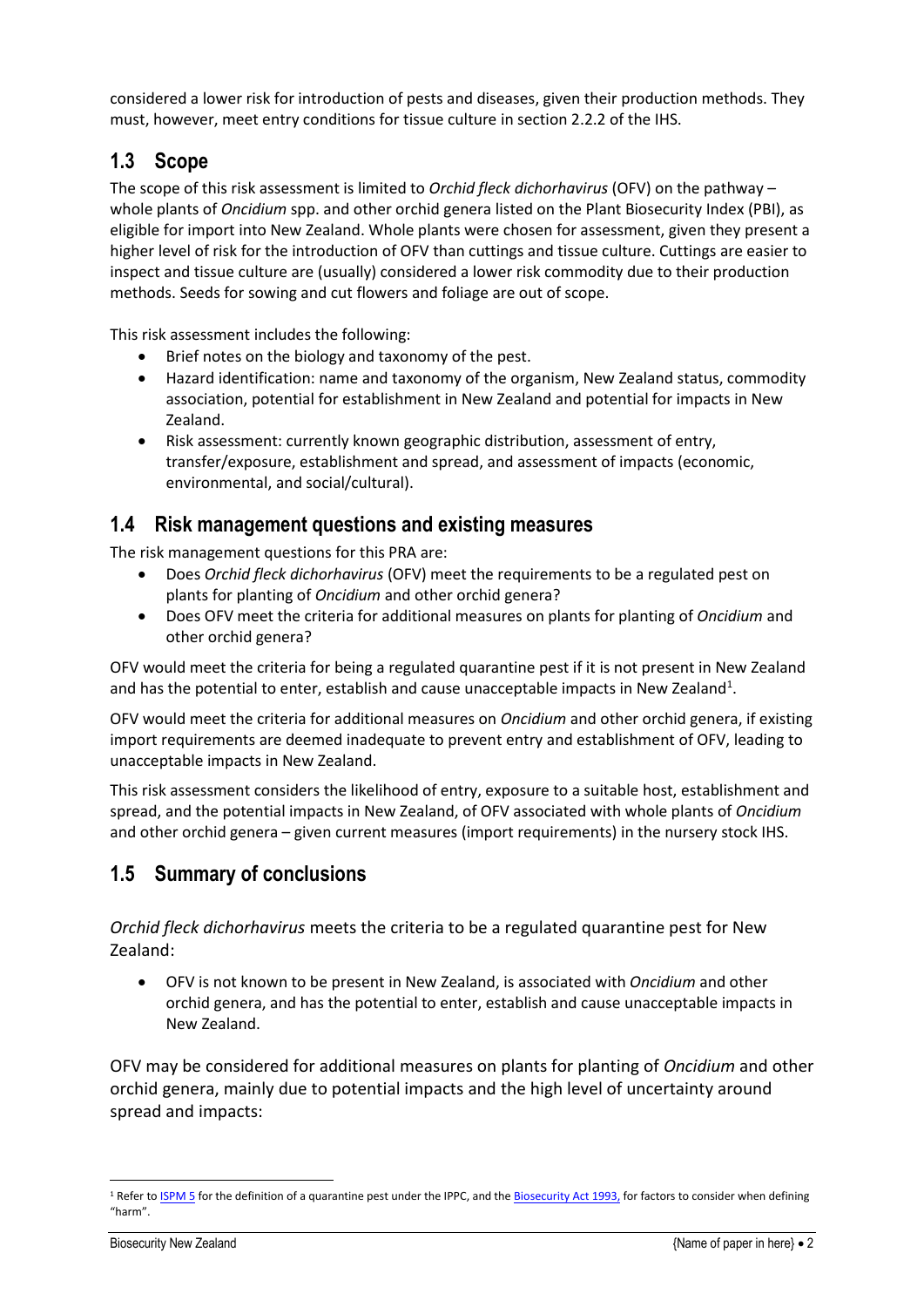considered a lower risk for introduction of pests and diseases, given their production methods. They must, however, meet entry conditions for tissue culture in section 2.2.2 of the IHS.

# <span id="page-8-0"></span>**1.3 Scope**

The scope of this risk assessment is limited to *Orchid fleck dichorhavirus* (OFV) on the pathway – whole plants of *Oncidium* spp. and other orchid genera listed on the Plant Biosecurity Index (PBI), as eligible for import into New Zealand. Whole plants were chosen for assessment, given they present a higher level of risk for the introduction of OFV than cuttings and tissue culture. Cuttings are easier to inspect and tissue culture are (usually) considered a lower risk commodity due to their production methods. Seeds for sowing and cut flowers and foliage are out of scope.

This risk assessment includes the following:

- Brief notes on the biology and taxonomy of the pest.
- Hazard identification: name and taxonomy of the organism, New Zealand status, commodity association, potential for establishment in New Zealand and potential for impacts in New Zealand.
- Risk assessment: currently known geographic distribution, assessment of entry, transfer/exposure, establishment and spread, and assessment of impacts (economic, environmental, and social/cultural).

## <span id="page-8-1"></span>**1.4 Risk management questions and existing measures**

The risk management questions for this PRA are:

- Does *Orchid fleck dichorhavirus* (OFV) meet the requirements to be a regulated pest on plants for planting of *Oncidium* and other orchid genera?
- Does OFV meet the criteria for additional measures on plants for planting of *Oncidium* and other orchid genera?

OFV would meet the criteria for being a regulated quarantine pest if it is not present in New Zealand and has the potential to enter, establish and cause unacceptable impacts in New Zealand<sup>1</sup>.

OFV would meet the criteria for additional measures on *Oncidium* and other orchid genera, if existing import requirements are deemed inadequate to prevent entry and establishment of OFV, leading to unacceptable impacts in New Zealand.

This risk assessment considers the likelihood of entry, exposure to a suitable host, establishment and spread, and the potential impacts in New Zealand, of OFV associated with whole plants of *Oncidium* and other orchid genera – given current measures (import requirements) in the nursery stock IHS.

## <span id="page-8-2"></span>**1.5 Summary of conclusions**

*Orchid fleck dichorhavirus* meets the criteria to be a regulated quarantine pest for New Zealand:

• OFV is not known to be present in New Zealand, is associated with *Oncidium* and other orchid genera, and has the potential to enter, establish and cause unacceptable impacts in New Zealand.

OFV may be considered for additional measures on plants for planting of *Oncidium* and other orchid genera, mainly due to potential impacts and the high level of uncertainty around spread and impacts:

<sup>&</sup>lt;sup>1</sup> Refer to **ISPM 5** for the definition of a quarantine pest under the IPPC, and the **Biosecurity Act 1993**, for factors to consider when defining "harm".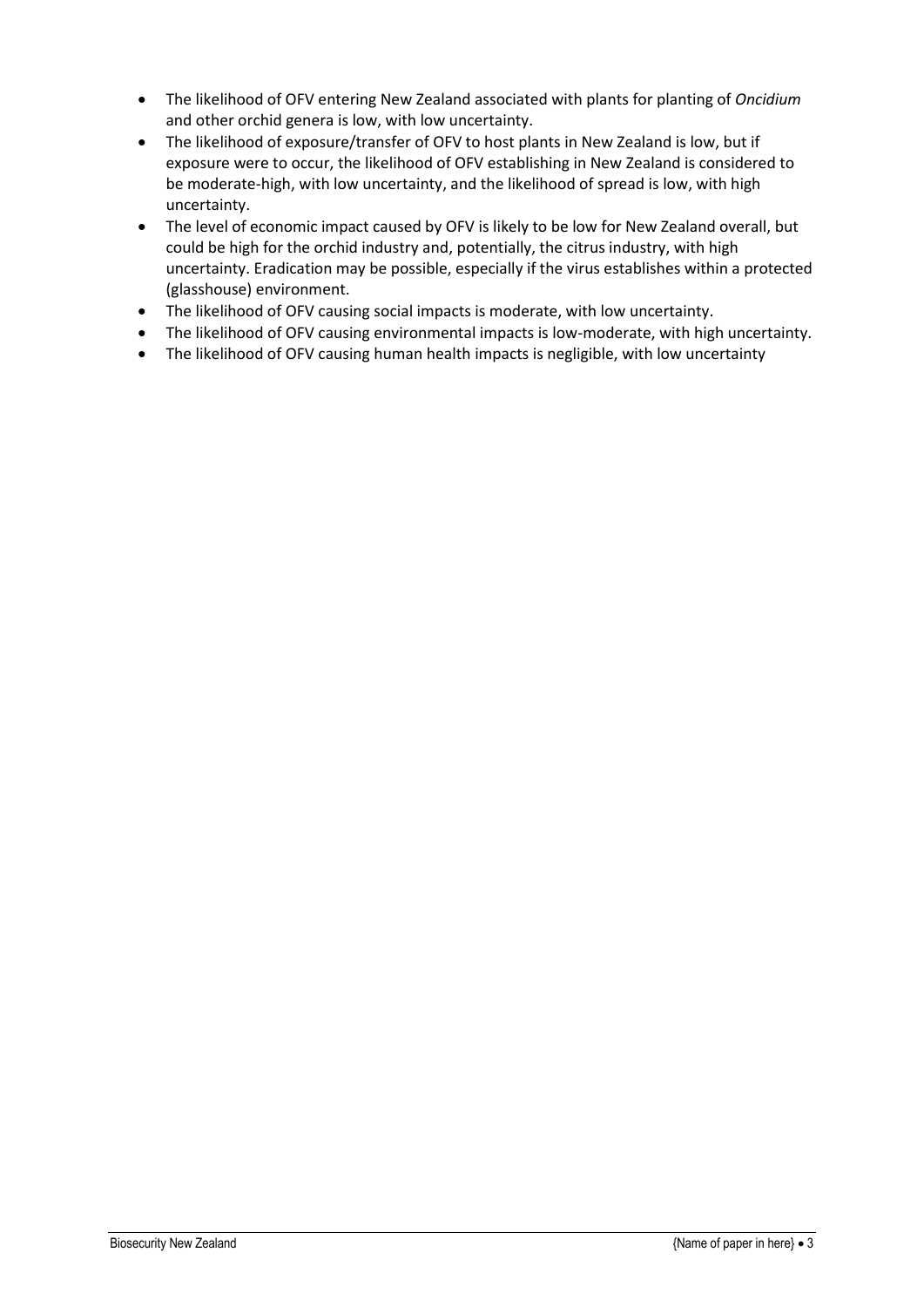- The likelihood of OFV entering New Zealand associated with plants for planting of *Oncidium* and other orchid genera is low, with low uncertainty.
- The likelihood of exposure/transfer of OFV to host plants in New Zealand is low, but if exposure were to occur, the likelihood of OFV establishing in New Zealand is considered to be moderate-high, with low uncertainty, and the likelihood of spread is low, with high uncertainty.
- The level of economic impact caused by OFV is likely to be low for New Zealand overall, but could be high for the orchid industry and, potentially, the citrus industry, with high uncertainty. Eradication may be possible, especially if the virus establishes within a protected (glasshouse) environment.
- The likelihood of OFV causing social impacts is moderate, with low uncertainty.
- The likelihood of OFV causing environmental impacts is low-moderate, with high uncertainty.
- The likelihood of OFV causing human health impacts is negligible, with low uncertainty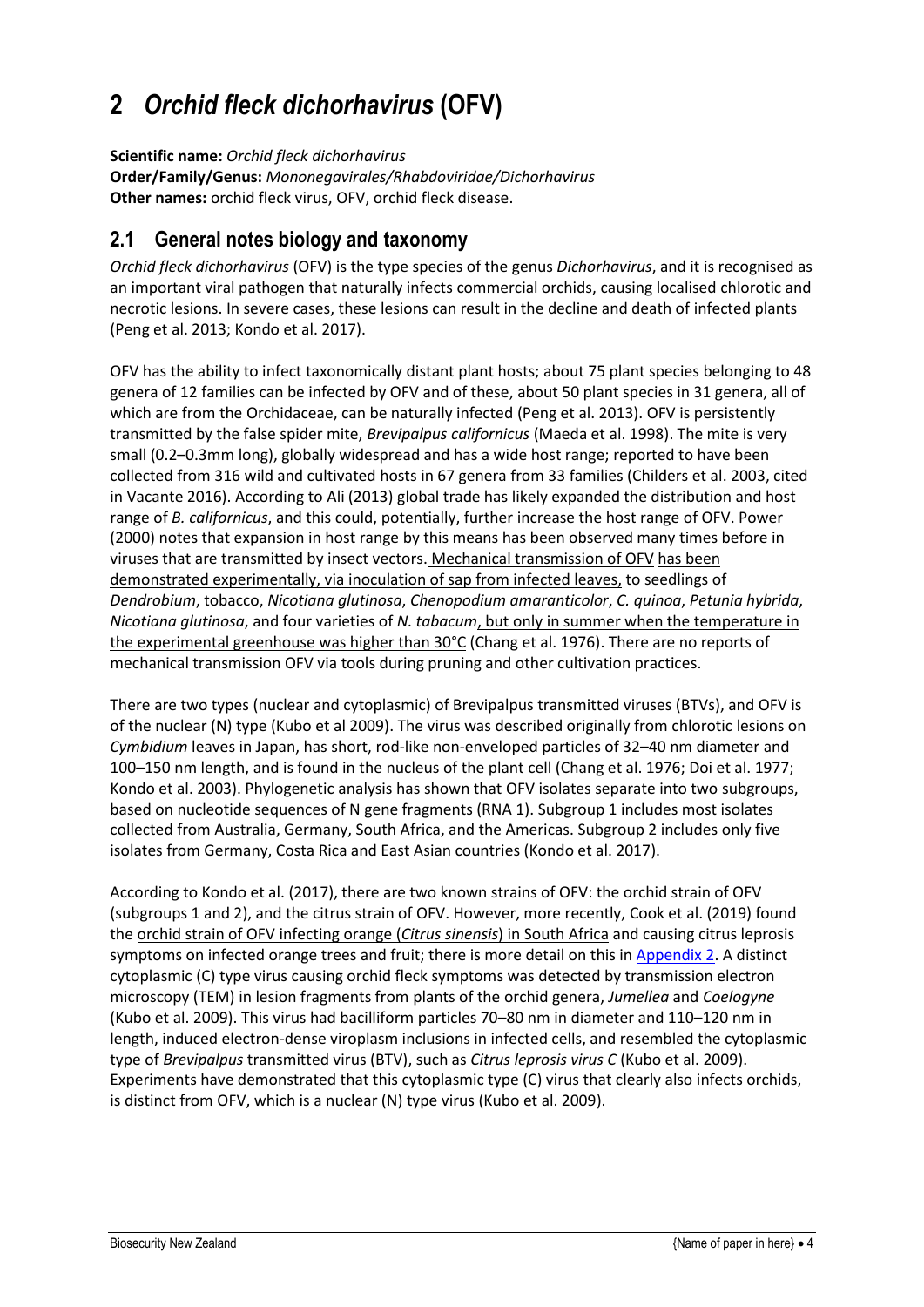# <span id="page-10-0"></span>**2** *Orchid fleck dichorhavirus* **(OFV)**

**Scientific name:** *Orchid fleck dichorhavirus*

**Order/Family/Genus:** *Mononegavirales/Rhabdoviridae/Dichorhavirus* **Other names:** orchid fleck virus, OFV, orchid fleck disease.

# <span id="page-10-1"></span>**2.1 General notes biology and taxonomy**

*Orchid fleck dichorhavirus* (OFV) is the type species of the genus *Dichorhavirus*, and it is recognised as an important viral pathogen that naturally infects commercial orchids, causing localised chlorotic and necrotic lesions. In severe cases, these lesions can result in the decline and death of infected plants (Peng et al. 2013; Kondo et al. 2017).

OFV has the ability to infect taxonomically distant plant hosts; about 75 plant species belonging to 48 genera of 12 families can be infected by OFV and of these, about 50 plant species in 31 genera, all of which are from the Orchidaceae, can be naturally infected (Peng et al. 2013). OFV is persistently transmitted by the false spider mite, *Brevipalpus californicus* (Maeda et al. 1998). The mite is very small (0.2–0.3mm long), globally widespread and has a wide host range; reported to have been collected from 316 wild and cultivated hosts in 67 genera from 33 families (Childers et al. 2003, cited in Vacante 2016). According to Ali (2013) global trade has likely expanded the distribution and host range of *B. californicus*, and this could, potentially, further increase the host range of OFV. Power (2000) notes that expansion in host range by this means has been observed many times before in viruses that are transmitted by insect vectors. Mechanical transmission of OFV has been demonstrated experimentally, via inoculation of sap from infected leaves, to seedlings of *Dendrobium*, tobacco, *Nicotiana glutinosa*, *Chenopodium amaranticolor*, *C. quinoa*, *Petunia hybrida*, *Nicotiana glutinosa*, and four varieties of *N. tabacum*, but only in summer when the temperature in the experimental greenhouse was higher than 30°C (Chang et al. 1976). There are no reports of mechanical transmission OFV via tools during pruning and other cultivation practices.

There are two types (nuclear and cytoplasmic) of Brevipalpus transmitted viruses (BTVs), and OFV is of the nuclear (N) type (Kubo et al 2009). The virus was described originally from chlorotic lesions on *Cymbidium* leaves in Japan, has short, rod-like non-enveloped particles of 32–40 nm diameter and 100–150 nm length, and is found in the nucleus of the plant cell (Chang et al. 1976; Doi et al. 1977; Kondo et al. 2003). Phylogenetic analysis has shown that OFV isolates separate into two subgroups, based on nucleotide sequences of N gene fragments (RNA 1). Subgroup 1 includes most isolates collected from Australia, Germany, South Africa, and the Americas. Subgroup 2 includes only five isolates from Germany, Costa Rica and East Asian countries (Kondo et al. 2017).

According to Kondo et al. (2017), there are two known strains of OFV: the orchid strain of OFV (subgroups 1 and 2), and the citrus strain of OFV. However, more recently, Cook et al. (2019) found the orchid strain of OFV infecting orange (*Citrus sinensis*) in South Africa and causing citrus leprosis symptoms on infected orange trees and fruit; there is more detail on this in [Appendix 2.](#page-23-0) A distinct cytoplasmic (C) type virus causing orchid fleck symptoms was detected by transmission electron microscopy (TEM) in lesion fragments from plants of the orchid genera, *Jumellea* and *Coelogyne* (Kubo et al. 2009). This virus had bacilliform particles 70–80 nm in diameter and 110–120 nm in length, induced electron-dense viroplasm inclusions in infected cells, and resembled the cytoplasmic type of *Brevipalpus* transmitted virus (BTV), such as *Citrus leprosis virus C* (Kubo et al. 2009). Experiments have demonstrated that this cytoplasmic type (C) virus that clearly also infects orchids, is distinct from OFV, which is a nuclear (N) type virus (Kubo et al. 2009).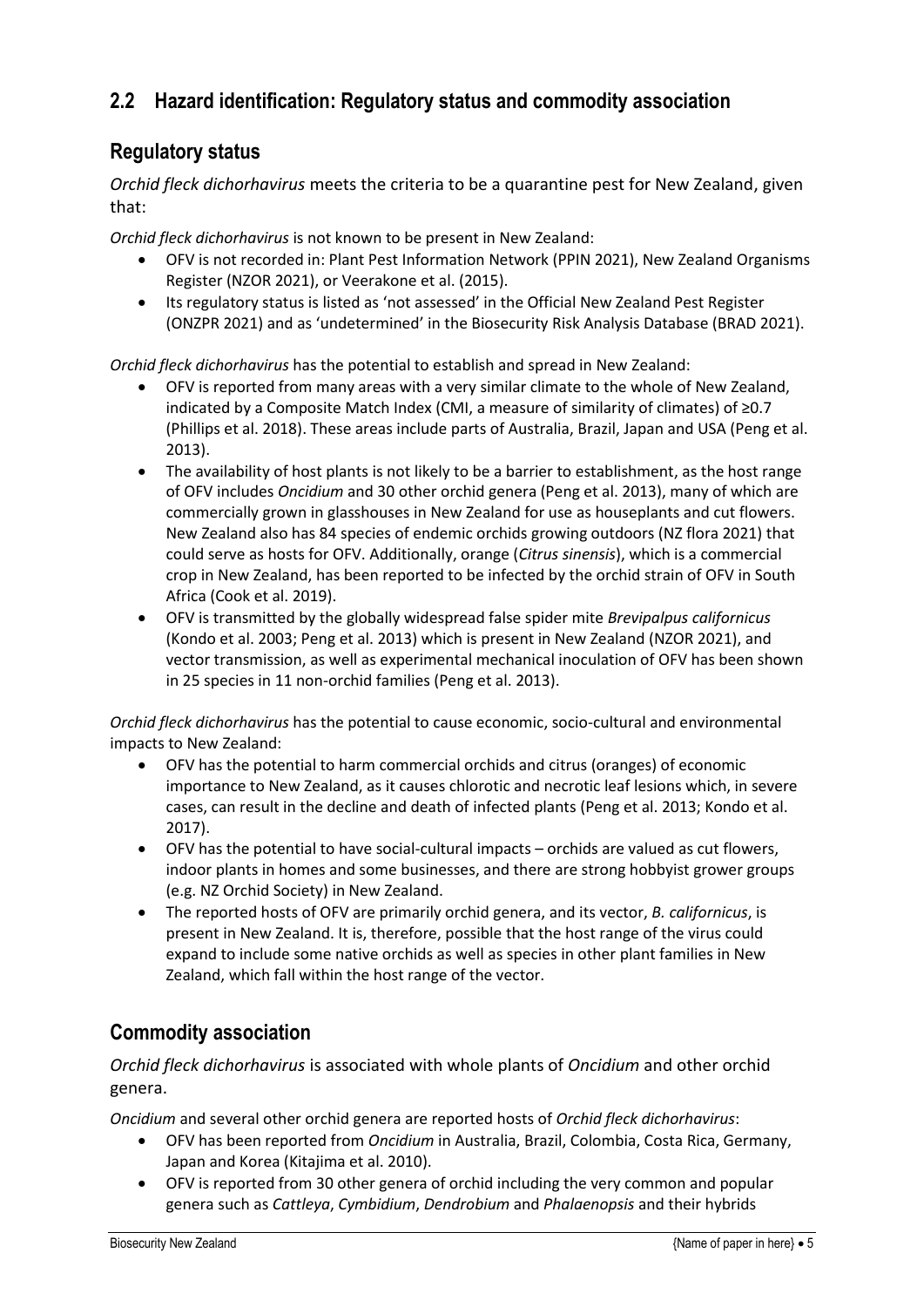## <span id="page-11-0"></span>**2.2 Hazard identification: Regulatory status and commodity association**

## **Regulatory status**

*Orchid fleck dichorhavirus* meets the criteria to be a quarantine pest for New Zealand, given that:

*Orchid fleck dichorhavirus* is not known to be present in New Zealand:

- OFV is not recorded in: Plant Pest Information Network (PPIN 2021), New Zealand Organisms Register (NZOR 2021), or Veerakone et al. (2015).
- Its regulatory status is listed as 'not assessed' in the Official New Zealand Pest Register (ONZPR 2021) and as 'undetermined' in the Biosecurity Risk Analysis Database (BRAD 2021).

*Orchid fleck dichorhavirus* has the potential to establish and spread in New Zealand:

- OFV is reported from many areas with a very similar climate to the whole of New Zealand, indicated by a Composite Match Index (CMI, a measure of similarity of climates) of ≥0.7 (Phillips et al. 2018). These areas include parts of Australia, Brazil, Japan and USA (Peng et al. 2013).
- The availability of host plants is not likely to be a barrier to establishment, as the host range of OFV includes *Oncidium* and 30 other orchid genera (Peng et al. 2013), many of which are commercially grown in glasshouses in New Zealand for use as houseplants and cut flowers. New Zealand also has 84 species of endemic orchids growing outdoors (NZ flora 2021) that could serve as hosts for OFV. Additionally, orange (*Citrus sinensis*), which is a commercial crop in New Zealand, has been reported to be infected by the orchid strain of OFV in South Africa (Cook et al. 2019).
- OFV is transmitted by the globally widespread false spider mite *Brevipalpus californicus* (Kondo et al. 2003; Peng et al. 2013) which is present in New Zealand (NZOR 2021), and vector transmission, as well as experimental mechanical inoculation of OFV has been shown in 25 species in 11 non-orchid families (Peng et al. 2013).

*Orchid fleck dichorhavirus* has the potential to cause economic, socio-cultural and environmental impacts to New Zealand:

- OFV has the potential to harm commercial orchids and citrus (oranges) of economic importance to New Zealand, as it causes chlorotic and necrotic leaf lesions which, in severe cases, can result in the decline and death of infected plants (Peng et al. 2013; Kondo et al. 2017).
- OFV has the potential to have social-cultural impacts orchids are valued as cut flowers, indoor plants in homes and some businesses, and there are strong hobbyist grower groups (e.g. NZ Orchid Society) in New Zealand.
- The reported hosts of OFV are primarily orchid genera, and its vector, *B. californicus*, is present in New Zealand. It is, therefore, possible that the host range of the virus could expand to include some native orchids as well as species in other plant families in New Zealand, which fall within the host range of the vector.

## **Commodity association**

*Orchid fleck dichorhavirus* is associated with whole plants of *Oncidium* and other orchid genera.

*Oncidium* and several other orchid genera are reported hosts of *Orchid fleck dichorhavirus*:

- OFV has been reported from *Oncidium* in Australia, Brazil, Colombia, Costa Rica, Germany, Japan and Korea (Kitajima et al. 2010).
- OFV is reported from 30 other genera of orchid including the very common and popular genera such as *Cattleya*, *Cymbidium*, *Dendrobium* and *Phalaenopsis* and their hybrids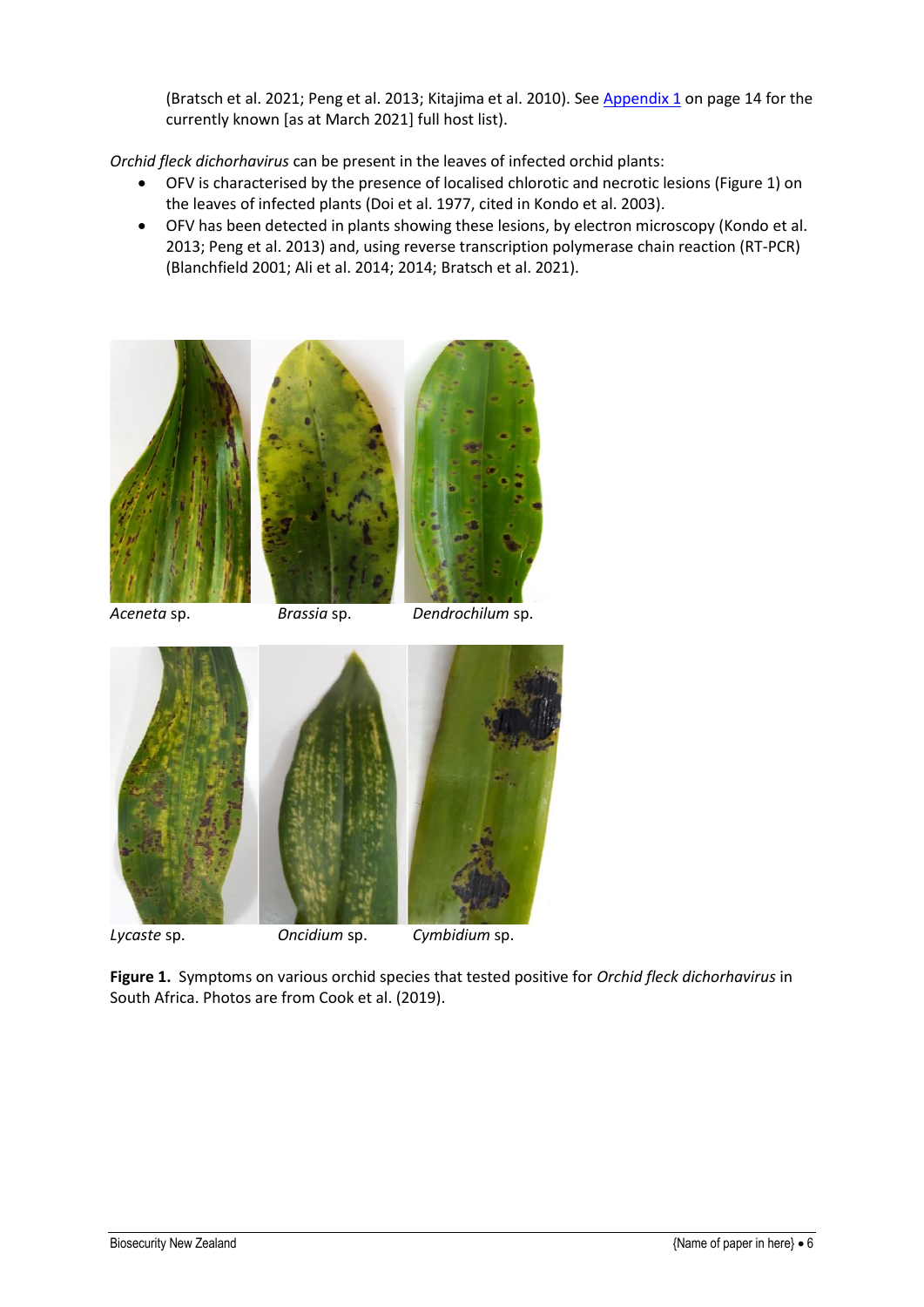(Bratsch et al. 2021; Peng et al. 2013; Kitajima et al. 2010). Se[e Appendix 1](#page-21-0) on page 14 for the currently known [as at March 2021] full host list).

*Orchid fleck dichorhavirus* can be present in the leaves of infected orchid plants:

- OFV is characterised by the presence of localised chlorotic and necrotic lesions (Figure 1) on the leaves of infected plants (Doi et al. 1977, cited in Kondo et al. 2003).
- OFV has been detected in plants showing these lesions, by electron microscopy (Kondo et al. 2013; Peng et al. 2013) and, using reverse transcription polymerase chain reaction (RT-PCR) (Blanchfield 2001; Ali et al. 2014; 2014; Bratsch et al. 2021).





*Aceneta* sp. *Brassia* sp. *Dendrochilum* sp.





*Lycaste* sp. *Oncidium* sp. *Cymbidium* sp.



**Figure 1.** Symptoms on various orchid species that tested positive for *Orchid fleck dichorhavirus* in South Africa. Photos are from Cook et al. (2019).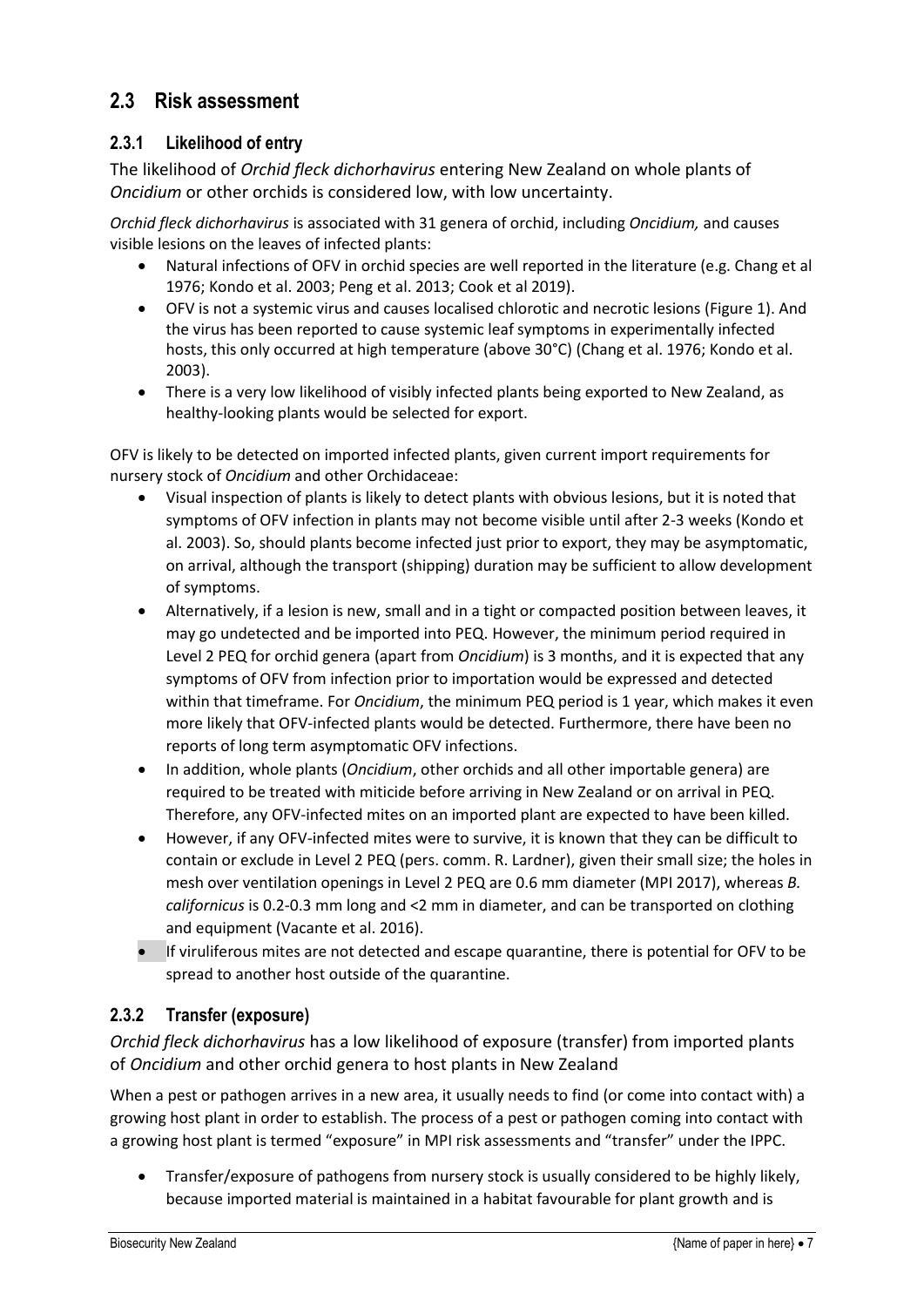## <span id="page-13-0"></span>**2.3 Risk assessment**

### <span id="page-13-1"></span>**2.3.1 Likelihood of entry**

The likelihood of *Orchid fleck dichorhavirus* entering New Zealand on whole plants of *Oncidium* or other orchids is considered low, with low uncertainty.

*Orchid fleck dichorhavirus* is associated with 31 genera of orchid, including *Oncidium,* and causes visible lesions on the leaves of infected plants:

- Natural infections of OFV in orchid species are well reported in the literature (e.g. Chang et al 1976; Kondo et al. 2003; Peng et al. 2013; Cook et al 2019).
- OFV is not a systemic virus and causes localised chlorotic and necrotic lesions (Figure 1). And the virus has been reported to cause systemic leaf symptoms in experimentally infected hosts, this only occurred at high temperature (above 30°C) (Chang et al. 1976; Kondo et al. 2003).
- There is a very low likelihood of visibly infected plants being exported to New Zealand, as healthy-looking plants would be selected for export.

OFV is likely to be detected on imported infected plants, given current import requirements for nursery stock of *Oncidium* and other Orchidaceae:

- Visual inspection of plants is likely to detect plants with obvious lesions, but it is noted that symptoms of OFV infection in plants may not become visible until after 2-3 weeks (Kondo et al. 2003). So, should plants become infected just prior to export, they may be asymptomatic, on arrival, although the transport (shipping) duration may be sufficient to allow development of symptoms.
- Alternatively, if a lesion is new, small and in a tight or compacted position between leaves, it may go undetected and be imported into PEQ. However, the minimum period required in Level 2 PEQ for orchid genera (apart from *Oncidium*) is 3 months, and it is expected that any symptoms of OFV from infection prior to importation would be expressed and detected within that timeframe. For *Oncidium*, the minimum PEQ period is 1 year, which makes it even more likely that OFV-infected plants would be detected. Furthermore, there have been no reports of long term asymptomatic OFV infections.
- In addition, whole plants (*Oncidium*, other orchids and all other importable genera) are required to be treated with miticide before arriving in New Zealand or on arrival in PEQ. Therefore, any OFV-infected mites on an imported plant are expected to have been killed.
- However, if any OFV-infected mites were to survive, it is known that they can be difficult to contain or exclude in Level 2 PEQ (pers. comm. R. Lardner), given their small size; the holes in mesh over ventilation openings in Level 2 PEQ are 0.6 mm diameter (MPI 2017), whereas *B. californicus* is 0.2-0.3 mm long and <2 mm in diameter, and can be transported on clothing and equipment (Vacante et al. 2016).
- If viruliferous mites are not detected and escape quarantine, there is potential for OFV to be spread to another host outside of the quarantine.

### <span id="page-13-2"></span>**2.3.2 Transfer (exposure)**

*Orchid fleck dichorhavirus* has a low likelihood of exposure (transfer) from imported plants of *Oncidium* and other orchid genera to host plants in New Zealand

When a pest or pathogen arrives in a new area, it usually needs to find (or come into contact with) a growing host plant in order to establish. The process of a pest or pathogen coming into contact with a growing host plant is termed "exposure" in MPI risk assessments and "transfer" under the IPPC.

• Transfer/exposure of pathogens from nursery stock is usually considered to be highly likely, because imported material is maintained in a habitat favourable for plant growth and is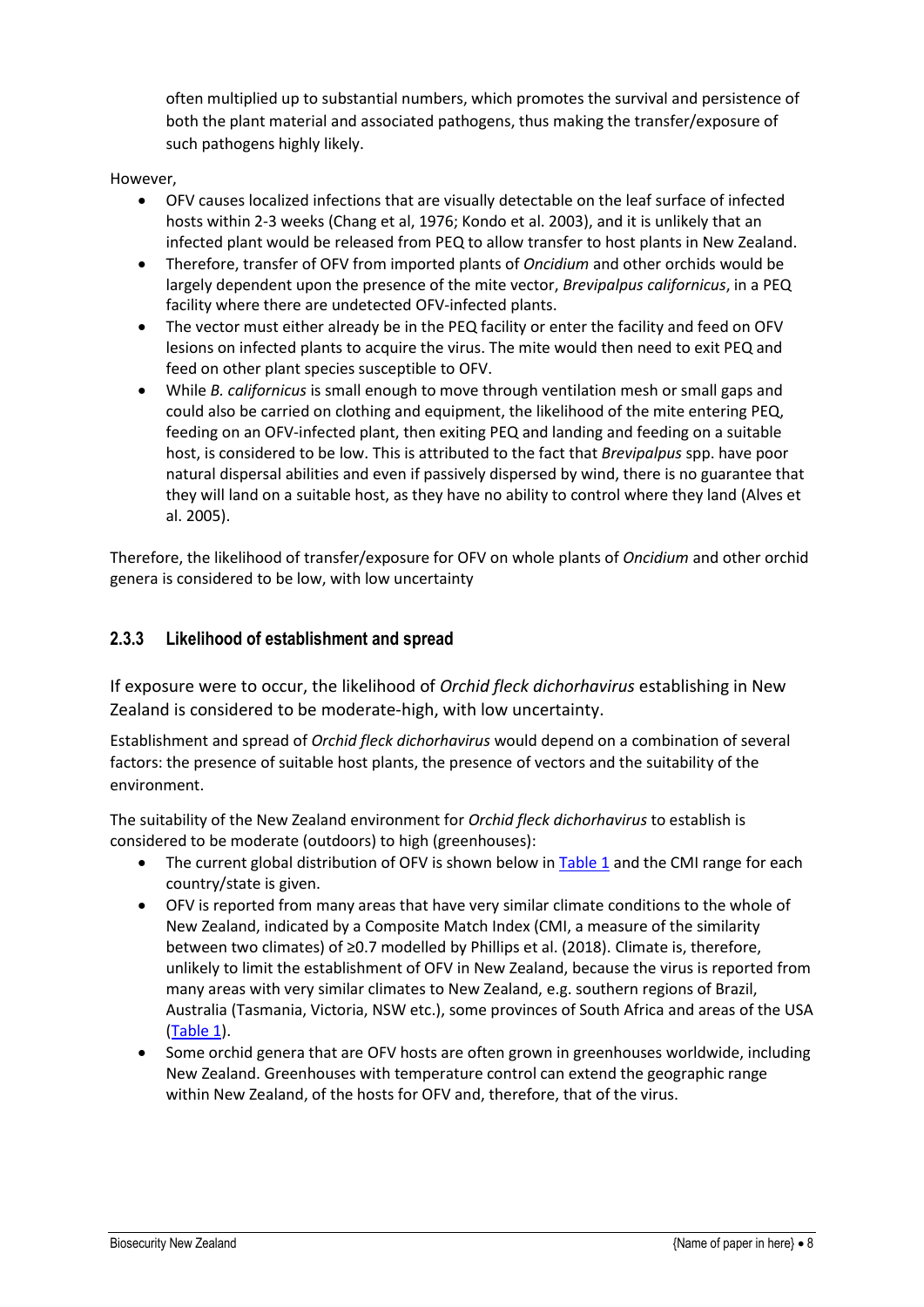often multiplied up to substantial numbers, which promotes the survival and persistence of both the plant material and associated pathogens, thus making the transfer/exposure of such pathogens highly likely.

#### However,

- OFV causes localized infections that are visually detectable on the leaf surface of infected hosts within 2-3 weeks (Chang et al, 1976; Kondo et al. 2003), and it is unlikely that an infected plant would be released from PEQ to allow transfer to host plants in New Zealand.
- Therefore, transfer of OFV from imported plants of *Oncidium* and other orchids would be largely dependent upon the presence of the mite vector, *Brevipalpus californicus*, in a PEQ facility where there are undetected OFV-infected plants.
- The vector must either already be in the PEQ facility or enter the facility and feed on OFV lesions on infected plants to acquire the virus. The mite would then need to exit PEQ and feed on other plant species susceptible to OFV.
- While *B. californicus* is small enough to move through ventilation mesh or small gaps and could also be carried on clothing and equipment, the likelihood of the mite entering PEQ, feeding on an OFV-infected plant, then exiting PEQ and landing and feeding on a suitable host, is considered to be low. This is attributed to the fact that *Brevipalpus* spp. have poor natural dispersal abilities and even if passively dispersed by wind, there is no guarantee that they will land on a suitable host, as they have no ability to control where they land (Alves et al. 2005).

Therefore, the likelihood of transfer/exposure for OFV on whole plants of *Oncidium* and other orchid genera is considered to be low, with low uncertainty

#### <span id="page-14-0"></span>**2.3.3 Likelihood of establishment and spread**

If exposure were to occur, the likelihood of *Orchid fleck dichorhavirus* establishing in New Zealand is considered to be moderate-high, with low uncertainty.

Establishment and spread of *Orchid fleck dichorhavirus* would depend on a combination of several factors: the presence of suitable host plants, the presence of vectors and the suitability of the environment.

The suitability of the New Zealand environment for *Orchid fleck dichorhavirus* to establish is considered to be moderate (outdoors) to high (greenhouses):

- The current global distribution of OFV is shown below in [Table 1](#page-15-0) and the CMI range for each country/state is given.
- OFV is reported from many areas that have very similar climate conditions to the whole of New Zealand, indicated by a Composite Match Index (CMI, a measure of the similarity between two climates) of ≥0.7 modelled by Phillips et al. (2018). Climate is, therefore, unlikely to limit the establishment of OFV in New Zealand, because the virus is reported from many areas with very similar climates to New Zealand, e.g. southern regions of Brazil, Australia (Tasmania, Victoria, NSW etc.), some provinces of South Africa and areas of the USA [\(Table 1\)](#page-15-0).
- Some orchid genera that are OFV hosts are often grown in greenhouses worldwide, including New Zealand. Greenhouses with temperature control can extend the geographic range within New Zealand, of the hosts for OFV and, therefore, that of the virus.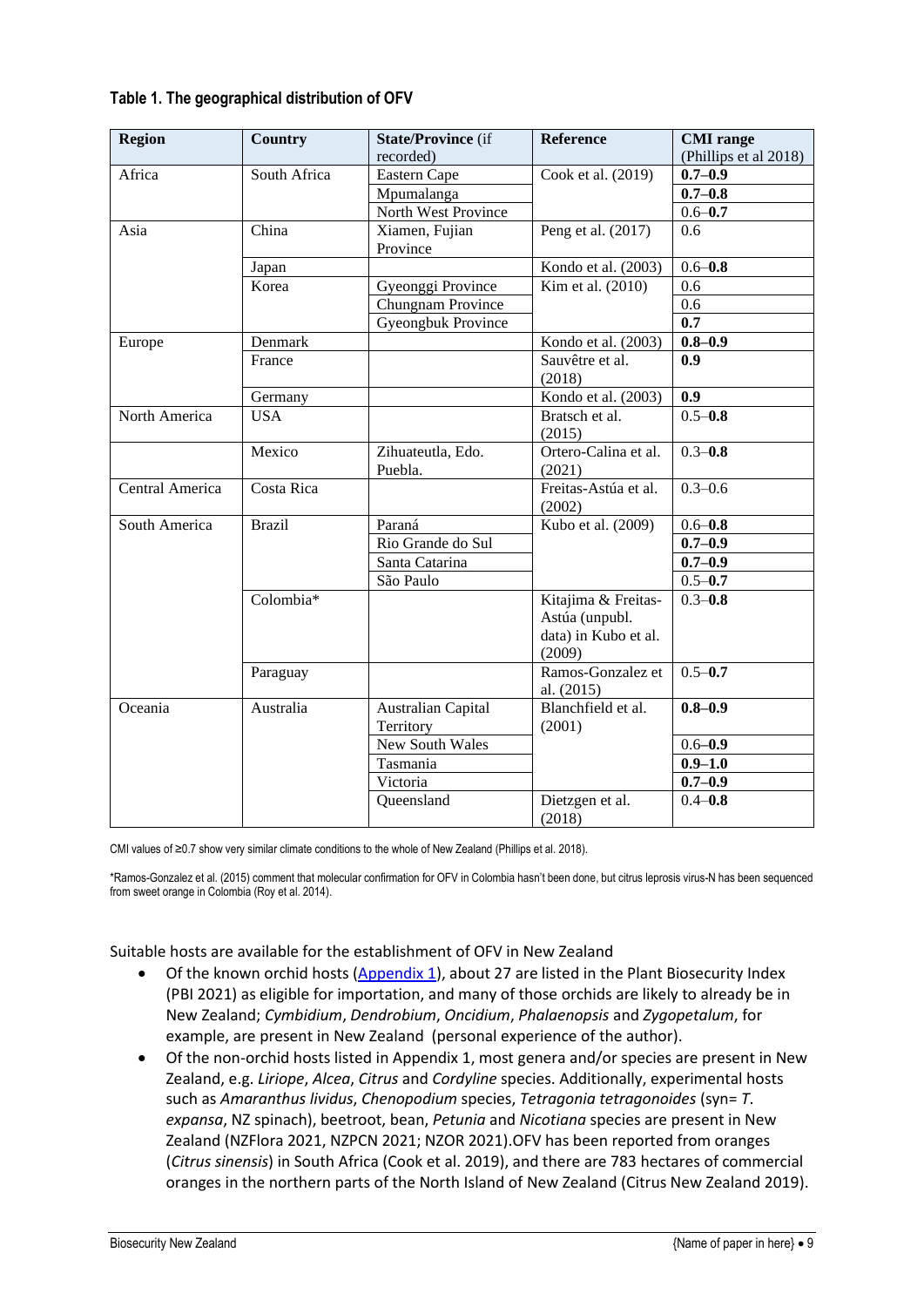<span id="page-15-0"></span>

| Table 1. The geographical distribution of OFV |  |  |  |  |
|-----------------------------------------------|--|--|--|--|
|-----------------------------------------------|--|--|--|--|

| <b>Region</b>   | <b>Country</b> | <b>State/Province (if</b> | Reference                 | <b>CMI</b> range      |
|-----------------|----------------|---------------------------|---------------------------|-----------------------|
|                 |                | recorded)                 |                           | (Phillips et al 2018) |
| Africa          | South Africa   | Eastern Cape              | Cook et al. (2019)        | $0.7 - 0.9$           |
|                 |                | Mpumalanga                |                           | $0.7 - 0.8$           |
|                 |                | North West Province       |                           | $0.6 - 0.7$           |
| Asia            | China          | Xiamen, Fujian            | Peng et al. (2017)        | 0.6                   |
|                 |                | Province                  |                           |                       |
|                 | Japan          |                           | Kondo et al. (2003)       | $0.6 - 0.8$           |
|                 | Korea          | Gyeonggi Province         | Kim et al. (2010)         | 0.6                   |
|                 |                | Chungnam Province         |                           | 0.6                   |
|                 |                | Gyeongbuk Province        |                           | 0.7                   |
| Europe          | Denmark        |                           | Kondo et al. (2003)       | $0.8 - 0.9$           |
|                 | France         |                           | Sauvêtre et al.           | 0.9                   |
|                 |                |                           | (2018)                    |                       |
|                 | Germany        |                           | Kondo et al. (2003)       | 0.9                   |
| North America   | <b>USA</b>     |                           | Bratsch et al.            | $0.5 - 0.8$           |
|                 |                |                           | (2015)                    |                       |
|                 | Mexico         | Zihuateutla, Edo.         | Ortero-Calina et al.      | $0.3 - 0.8$           |
|                 |                | Puebla.                   | (2021)                    |                       |
| Central America | Costa Rica     |                           | Freitas-Astúa et al.      | $0.3 - 0.6$           |
|                 |                |                           | (2002)                    |                       |
| South America   | <b>Brazil</b>  | Paraná                    | Kubo et al. (2009)        | $0.6 - 0.8$           |
|                 |                | Rio Grande do Sul         |                           | $0.7 - 0.9$           |
|                 |                | Santa Catarina            |                           | $0.7 - 0.9$           |
|                 |                | São Paulo                 |                           | $0.5 - 0.7$           |
|                 | Colombia*      |                           | Kitajima & Freitas-       | $0.3 - 0.8$           |
|                 |                |                           | Astúa (unpubl.            |                       |
|                 |                |                           | data) in Kubo et al.      |                       |
|                 |                |                           | (2009)                    |                       |
|                 | Paraguay       |                           | Ramos-Gonzalez et         | $0.5 - 0.7$           |
|                 |                |                           | al. (2015)                |                       |
| Oceania         | Australia      | <b>Australian Capital</b> | Blanchfield et al.        | $0.8 - 0.9$           |
|                 |                | Territory                 | (2001)                    |                       |
|                 |                | New South Wales           |                           | $0.6 - 0.9$           |
|                 |                | Tasmania                  |                           | $0.9 - 1.0$           |
|                 |                | Victoria                  |                           | $0.7 - 0.9$           |
|                 |                | Queensland                | Dietzgen et al.<br>(2018) | $0.4 - 0.8$           |

CMI values of ≥0.7 show very similar climate conditions to the whole of New Zealand (Phillips et al. 2018).

\*Ramos-Gonzalez et al. (2015) comment that molecular confirmation for OFV in Colombia hasn't been done, but citrus leprosis virus-N has been sequenced from sweet orange in Colombia (Roy et al. 2014).

Suitable hosts are available for the establishment of OFV in New Zealand

- Of the known orchid hosts [\(Appendix 1\)](#page-21-0), about 27 are listed in the Plant Biosecurity Index (PBI 2021) as eligible for importation, and many of those orchids are likely to already be in New Zealand; *Cymbidium*, *Dendrobium*, *Oncidium*, *Phalaenopsis* and *Zygopetalum*, for example, are present in New Zealand (personal experience of the author).
- Of the non-orchid hosts listed in Appendix 1, most genera and/or species are present in New Zealand, e.g. *Liriope*, *Alcea*, *Citrus* and *Cordyline* species. Additionally, experimental hosts such as *Amaranthus lividus*, *Chenopodium* species, *Tetragonia tetragonoides* (syn= *T*. *expansa*, NZ spinach), beetroot, bean, *Petunia* and *Nicotiana* species are present in New Zealand (NZFlora 2021, NZPCN 2021; NZOR 2021).OFV has been reported from oranges (*Citrus sinensis*) in South Africa (Cook et al. 2019), and there are 783 hectares of commercial oranges in the northern parts of the North Island of New Zealand (Citrus New Zealand 2019).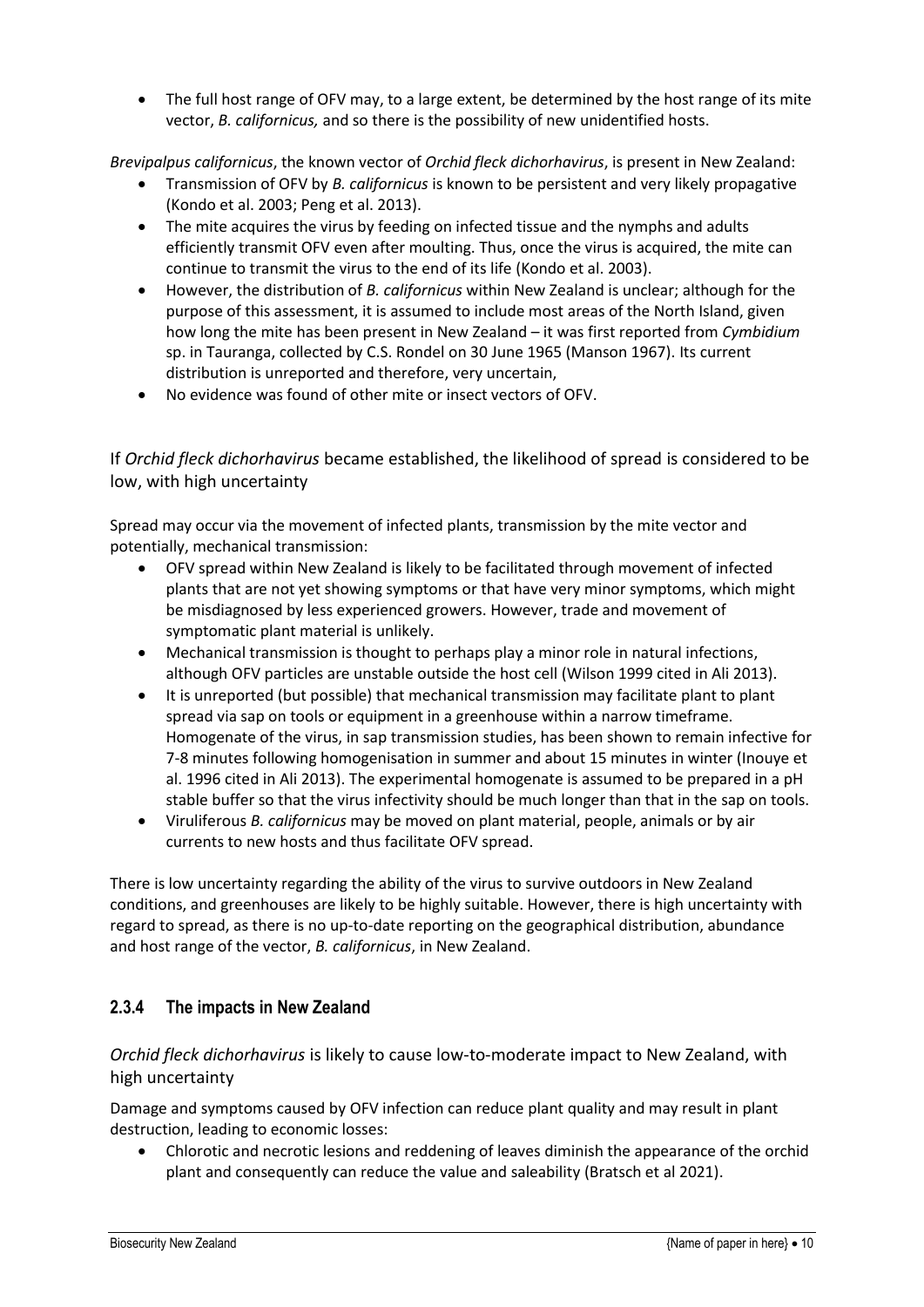• The full host range of OFV may, to a large extent, be determined by the host range of its mite vector, *B. californicus,* and so there is the possibility of new unidentified hosts.

*Brevipalpus californicus*, the known vector of *Orchid fleck dichorhavirus*, is present in New Zealand:

- Transmission of OFV by *B. californicus* is known to be persistent and very likely propagative (Kondo et al. 2003; Peng et al. 2013).
- The mite acquires the virus by feeding on infected tissue and the nymphs and adults efficiently transmit OFV even after moulting. Thus, once the virus is acquired, the mite can continue to transmit the virus to the end of its life (Kondo et al. 2003).
- However, the distribution of *B. californicus* within New Zealand is unclear; although for the purpose of this assessment, it is assumed to include most areas of the North Island, given how long the mite has been present in New Zealand – it was first reported from *Cymbidium* sp. in Tauranga, collected by C.S. Rondel on 30 June 1965 (Manson 1967). Its current distribution is unreported and therefore, very uncertain,
- No evidence was found of other mite or insect vectors of OFV.

If *Orchid fleck dichorhavirus* became established, the likelihood of spread is considered to be low, with high uncertainty

Spread may occur via the movement of infected plants, transmission by the mite vector and potentially, mechanical transmission:

- OFV spread within New Zealand is likely to be facilitated through movement of infected plants that are not yet showing symptoms or that have very minor symptoms, which might be misdiagnosed by less experienced growers. However, trade and movement of symptomatic plant material is unlikely.
- Mechanical transmission is thought to perhaps play a minor role in natural infections, although OFV particles are unstable outside the host cell (Wilson 1999 cited in Ali 2013).
- It is unreported (but possible) that mechanical transmission may facilitate plant to plant spread via sap on tools or equipment in a greenhouse within a narrow timeframe. Homogenate of the virus, in sap transmission studies, has been shown to remain infective for 7-8 minutes following homogenisation in summer and about 15 minutes in winter (Inouye et al. 1996 cited in Ali 2013). The experimental homogenate is assumed to be prepared in a pH stable buffer so that the virus infectivity should be much longer than that in the sap on tools.
- Viruliferous *B. californicus* may be moved on plant material, people, animals or by air currents to new hosts and thus facilitate OFV spread.

There is low uncertainty regarding the ability of the virus to survive outdoors in New Zealand conditions, and greenhouses are likely to be highly suitable. However, there is high uncertainty with regard to spread, as there is no up-to-date reporting on the geographical distribution, abundance and host range of the vector, *B. californicus*, in New Zealand.

### <span id="page-16-0"></span>**2.3.4 The impacts in New Zealand**

*Orchid fleck dichorhavirus* is likely to cause low-to-moderate impact to New Zealand, with high uncertainty

Damage and symptoms caused by OFV infection can reduce plant quality and may result in plant destruction, leading to economic losses:

• Chlorotic and necrotic lesions and reddening of leaves diminish the appearance of the orchid plant and consequently can reduce the value and saleability (Bratsch et al 2021).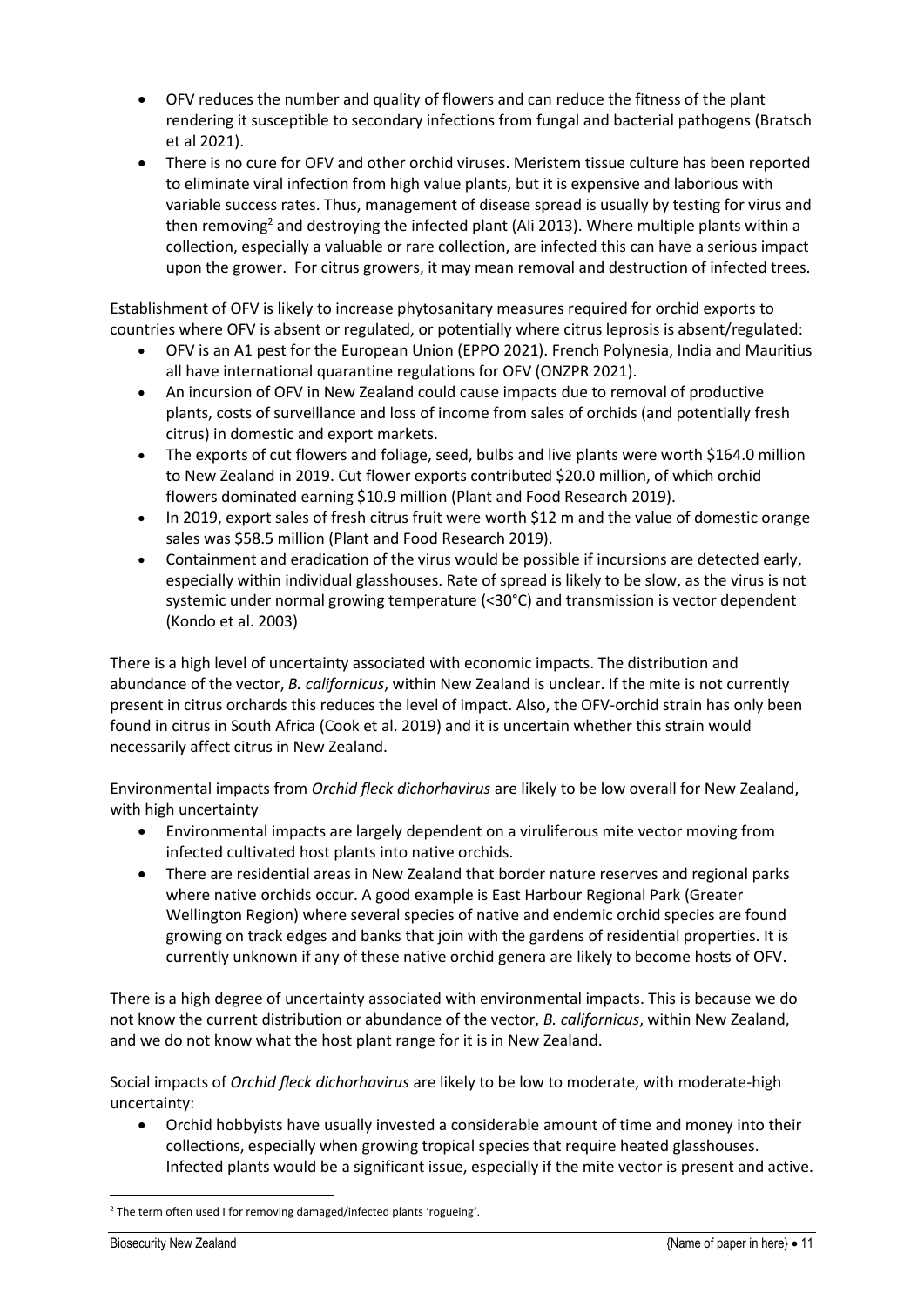- OFV reduces the number and quality of flowers and can reduce the fitness of the plant rendering it susceptible to secondary infections from fungal and bacterial pathogens (Bratsch et al 2021).
- There is no cure for OFV and other orchid viruses. Meristem tissue culture has been reported to eliminate viral infection from high value plants, but it is expensive and laborious with variable success rates. Thus, management of disease spread is usually by testing for virus and then removing<sup>2</sup> and destroying the infected plant (Ali 2013). Where multiple plants within a collection, especially a valuable or rare collection, are infected this can have a serious impact upon the grower. For citrus growers, it may mean removal and destruction of infected trees.

Establishment of OFV is likely to increase phytosanitary measures required for orchid exports to countries where OFV is absent or regulated, or potentially where citrus leprosis is absent/regulated:

- OFV is an A1 pest for the European Union (EPPO 2021). French Polynesia, India and Mauritius all have international quarantine regulations for OFV (ONZPR 2021).
- An incursion of OFV in New Zealand could cause impacts due to removal of productive plants, costs of surveillance and loss of income from sales of orchids (and potentially fresh citrus) in domestic and export markets.
- The exports of cut flowers and foliage, seed, bulbs and live plants were worth \$164.0 million to New Zealand in 2019. Cut flower exports contributed \$20.0 million, of which orchid flowers dominated earning \$10.9 million (Plant and Food Research 2019).
- In 2019, export sales of fresh citrus fruit were worth \$12 m and the value of domestic orange sales was \$58.5 million (Plant and Food Research 2019).
- Containment and eradication of the virus would be possible if incursions are detected early, especially within individual glasshouses. Rate of spread is likely to be slow, as the virus is not systemic under normal growing temperature (<30°C) and transmission is vector dependent (Kondo et al. 2003)

There is a high level of uncertainty associated with economic impacts. The distribution and abundance of the vector, *B. californicus*, within New Zealand is unclear. If the mite is not currently present in citrus orchards this reduces the level of impact. Also, the OFV-orchid strain has only been found in citrus in South Africa (Cook et al. 2019) and it is uncertain whether this strain would necessarily affect citrus in New Zealand.

Environmental impacts from *Orchid fleck dichorhavirus* are likely to be low overall for New Zealand, with high uncertainty

- Environmental impacts are largely dependent on a viruliferous mite vector moving from infected cultivated host plants into native orchids.
- There are residential areas in New Zealand that border nature reserves and regional parks where native orchids occur. A good example is East Harbour Regional Park (Greater Wellington Region) where several species of native and endemic orchid species are found growing on track edges and banks that join with the gardens of residential properties. It is currently unknown if any of these native orchid genera are likely to become hosts of OFV.

There is a high degree of uncertainty associated with environmental impacts. This is because we do not know the current distribution or abundance of the vector, *B. californicus*, within New Zealand, and we do not know what the host plant range for it is in New Zealand.

Social impacts of *Orchid fleck dichorhavirus* are likely to be low to moderate, with moderate-high uncertainty:

• Orchid hobbyists have usually invested a considerable amount of time and money into their collections, especially when growing tropical species that require heated glasshouses. Infected plants would be a significant issue, especially if the mite vector is present and active.

<sup>&</sup>lt;sup>2</sup> The term often used I for removing damaged/infected plants 'rogueing'.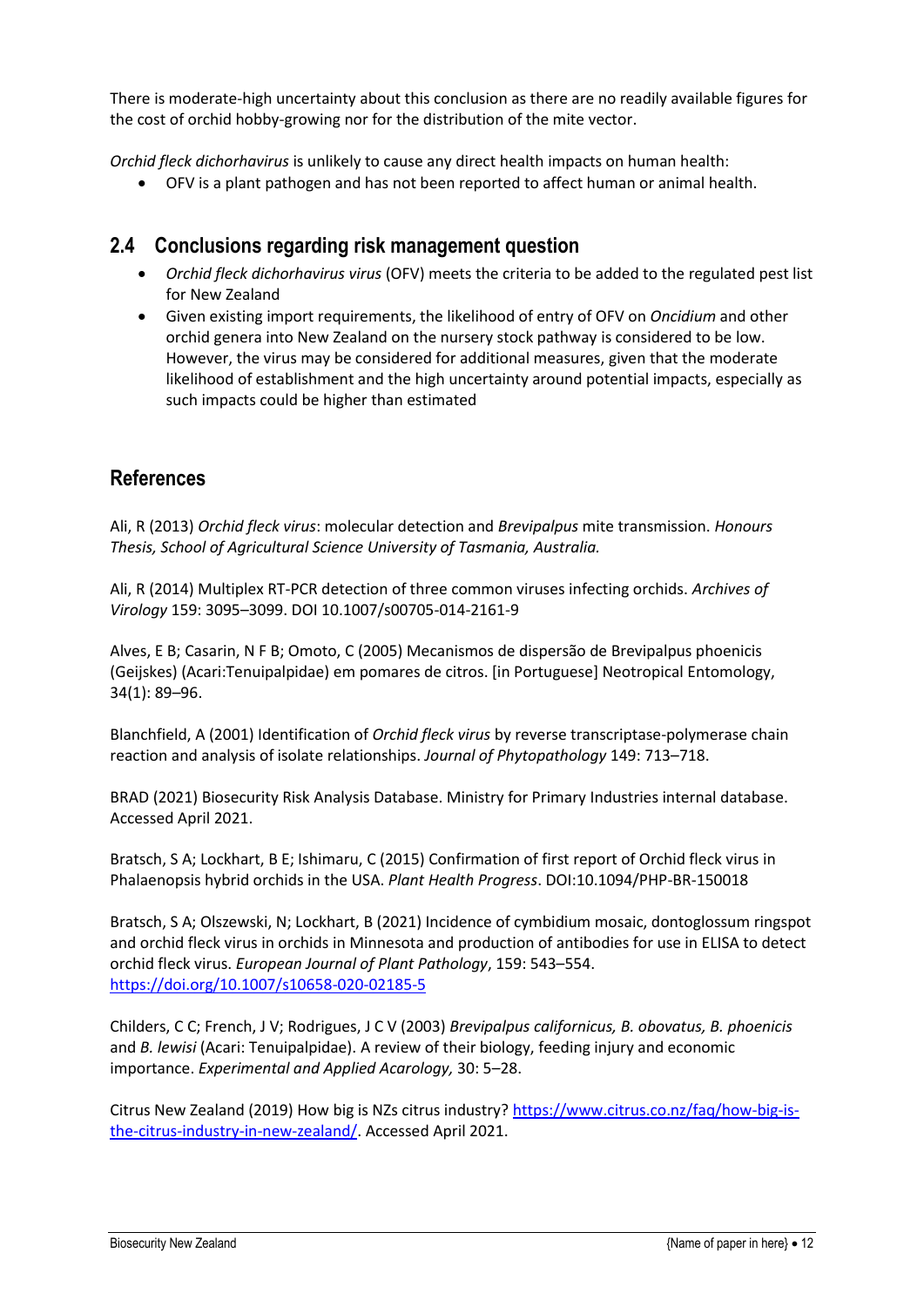There is moderate-high uncertainty about this conclusion as there are no readily available figures for the cost of orchid hobby-growing nor for the distribution of the mite vector.

*Orchid fleck dichorhavirus* is unlikely to cause any direct health impacts on human health:

• OFV is a plant pathogen and has not been reported to affect human or animal health.

### <span id="page-18-0"></span>**2.4 Conclusions regarding risk management question**

- *Orchid fleck dichorhavirus virus* (OFV) meets the criteria to be added to the regulated pest list for New Zealand
- Given existing import requirements, the likelihood of entry of OFV on *Oncidium* and other orchid genera into New Zealand on the nursery stock pathway is considered to be low. However, the virus may be considered for additional measures, given that the moderate likelihood of establishment and the high uncertainty around potential impacts, especially as such impacts could be higher than estimated

## **References**

Ali, R (2013) *Orchid fleck virus*: molecular detection and *Brevipalpus* mite transmission. *Honours Thesis, School of Agricultural Science University of Tasmania, Australia.*

Ali, R (2014) Multiplex RT-PCR detection of three common viruses infecting orchids. *Archives of Virology* 159: 3095–3099. DOI 10.1007/s00705-014-2161-9

Alves, E B; Casarin, N F B; Omoto, C (2005) Mecanismos de dispersão de Brevipalpus phoenicis (Geijskes) (Acari:Tenuipalpidae) em pomares de citros. [in Portuguese] Neotropical Entomology, 34(1): 89–96.

Blanchfield, A (2001) Identification of *Orchid fleck virus* by reverse transcriptase-polymerase chain reaction and analysis of isolate relationships. *Journal of Phytopathology* 149: 713–718.

BRAD (2021) Biosecurity Risk Analysis Database. Ministry for Primary Industries internal database. Accessed April 2021.

Bratsch, S A; Lockhart, B E; Ishimaru, C (2015) Confirmation of first report of Orchid fleck virus in Phalaenopsis hybrid orchids in the USA. *Plant Health Progress*. DOI:10.1094/PHP-BR-150018

Bratsch, S A; Olszewski, N; Lockhart, B (2021) Incidence of cymbidium mosaic, dontoglossum ringspot and orchid fleck virus in orchids in Minnesota and production of antibodies for use in ELISA to detect orchid fleck virus. *European Journal of Plant Pathology*, 159: 543–554. <https://doi.org/10.1007/s10658-020-02185-5>

Childers, C C; French, J V; Rodrigues, J C V (2003) *Brevipalpus californicus, B. obovatus, B. phoenicis* and *B. lewisi* (Acari: Tenuipalpidae). A review of their biology, feeding injury and economic importance. *Experimental and Applied Acarology,* 30: 5–28.

Citrus New Zealand (2019) How big is NZs citrus industry? [https://www.citrus.co.nz/faq/how-big-is](https://www.citrus.co.nz/faq/how-big-is-the-citrus-industry-in-new-zealand/)[the-citrus-industry-in-new-zealand/.](https://www.citrus.co.nz/faq/how-big-is-the-citrus-industry-in-new-zealand/) Accessed April 2021.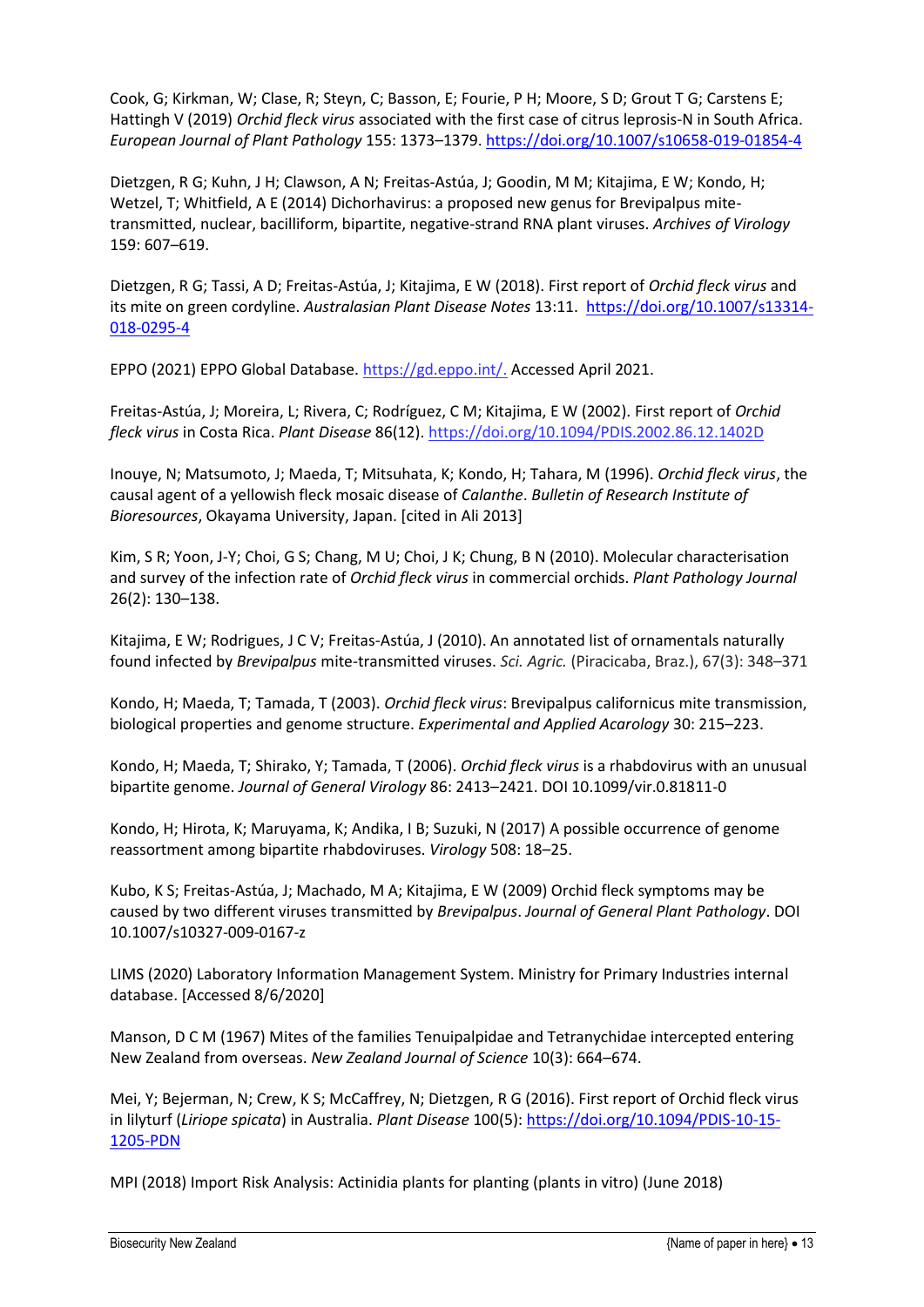Cook, G; Kirkman, W; Clase, R; Steyn, C; Basson, E; Fourie, P H; Moore, S D; Grout T G; Carstens E; Hattingh V (2019) *Orchid fleck virus* associated with the first case of citrus leprosis-N in South Africa. *European Journal of Plant Pathology* 155: 1373–1379.<https://doi.org/10.1007/s10658-019-01854-4>

Dietzgen, R G; Kuhn, J H; Clawson, A N; Freitas-Astúa, J; Goodin, M M; Kitajima, E W; Kondo, H; Wetzel, T; Whitfield, A E (2014) Dichorhavirus: a proposed new genus for Brevipalpus mitetransmitted, nuclear, bacilliform, bipartite, negative-strand RNA plant viruses. *Archives of Virology* 159: 607–619.

Dietzgen, R G; Tassi, A D; Freitas-Astúa, J; Kitajima, E W (2018). First report of *Orchid fleck virus* and its mite on green cordyline. *Australasian Plant Disease Notes* 13:11. [https://doi.org/10.1007/s13314-](https://doi.org/10.1007/s13314-018-0295-4) [018-0295-4](https://doi.org/10.1007/s13314-018-0295-4)

EPPO (2021) EPPO Global Database. [https://gd.eppo.int/.](https://gd.eppo.int/) Accessed April 2021.

Freitas-Astúa, J; Moreira, L; Rivera, C; Rodríguez, C M; Kitajima, E W (2002). First report of *Orchid fleck virus* in Costa Rica. *Plant Disease* 86(12).<https://doi.org/10.1094/PDIS.2002.86.12.1402D>

Inouye, N; Matsumoto, J; Maeda, T; Mitsuhata, K; Kondo, H; Tahara, M (1996). *Orchid fleck virus*, the causal agent of a yellowish fleck mosaic disease of *Calanthe*. *Bulletin of Research Institute of Bioresources*, Okayama University, Japan. [cited in Ali 2013]

Kim, S R; Yoon, J-Y; Choi, G S; Chang, M U; Choi, J K; Chung, B N (2010). Molecular characterisation and survey of the infection rate of *Orchid fleck virus* in commercial orchids. *Plant Pathology Journal* 26(2): 130–138.

Kitajima, E W; Rodrigues, J C V; Freitas-Astúa, J (2010). An annotated list of ornamentals naturally found infected by *Brevipalpus* mite-transmitted viruses. *Sci. Agric.* (Piracicaba, Braz.), 67(3): 348–371

Kondo, H; Maeda, T; Tamada, T (2003). *Orchid fleck virus*: Brevipalpus californicus mite transmission, biological properties and genome structure. *Experimental and Applied Acarology* 30: 215–223.

Kondo, H; Maeda, T; Shirako, Y; Tamada, T (2006). *Orchid fleck virus* is a rhabdovirus with an unusual bipartite genome. *Journal of General Virology* 86: 2413–2421. DOI 10.1099/vir.0.81811-0

Kondo, H; Hirota, K; Maruyama, K; Andika, I B; Suzuki, N (2017) A possible occurrence of genome reassortment among bipartite rhabdoviruses. *Virology* 508: 18–25.

Kubo, K S; Freitas-Astúa, J; Machado, M A; Kitajima, E W (2009) Orchid fleck symptoms may be caused by two different viruses transmitted by *Brevipalpus*. *Journal of General Plant Pathology*. DOI 10.1007/s10327-009-0167-z

LIMS (2020) Laboratory Information Management System. Ministry for Primary Industries internal database. [Accessed 8/6/2020]

Manson, D C M (1967) Mites of the families Tenuipalpidae and Tetranychidae intercepted entering New Zealand from overseas. *New Zealand Journal of Science* 10(3): 664–674.

Mei, Y; Bejerman, N; Crew, K S; McCaffrey, N; Dietzgen, R G (2016). First report of Orchid fleck virus in lilyturf (*Liriope spicata*) in Australia. *Plant Disease* 100(5): [https://doi.org/10.1094/PDIS-10-15-](https://doi.org/10.1094/PDIS-10-15-1205-PDN) [1205-PDN](https://doi.org/10.1094/PDIS-10-15-1205-PDN)

MPI (2018) Import Risk Analysis: Actinidia plants for planting (plants in vitro) (June 2018)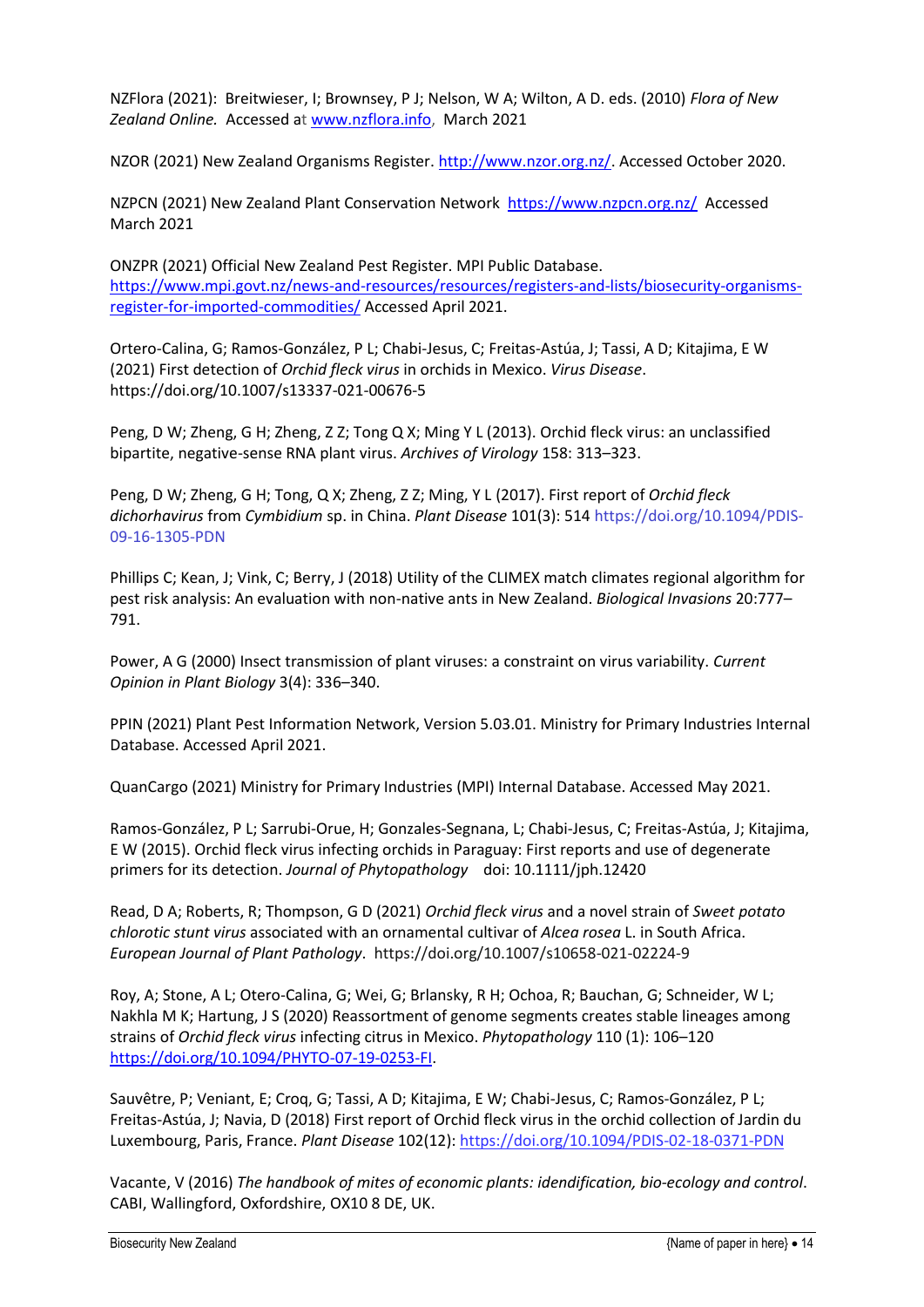NZFlora (2021): Breitwieser, I; Brownsey, P J; Nelson, W A; Wilton, A D. eds. (2010) *Flora of New Zealand Online.* Accessed at [www.nzflora.info,](http://www.nzflora.info/) March 2021

NZOR (2021) New Zealand Organisms Register[. http://www.nzor.org.nz/.](http://www.nzor.org.nz/) Accessed October 2020.

NZPCN (2021) New Zealand Plant Conservation Network <https://www.nzpcn.org.nz/>Accessed March 2021

ONZPR (2021) Official New Zealand Pest Register. MPI Public Database. [https://www.mpi.govt.nz/news-and-resources/resources/registers-and-lists/biosecurity-organisms](https://www.mpi.govt.nz/news-and-resources/resources/registers-and-lists/biosecurity-organisms-register-for-imported-commodities/)[register-for-imported-commodities/](https://www.mpi.govt.nz/news-and-resources/resources/registers-and-lists/biosecurity-organisms-register-for-imported-commodities/) Accessed April 2021.

Ortero-Calina, G; Ramos-González, P L; Chabi-Jesus, C; Freitas-Astúa, J; Tassi, A D; Kitajima, E W (2021) First detection of *Orchid fleck virus* in orchids in Mexico. *Virus Disease*. https://doi.org/10.1007/s13337-021-00676-5

Peng, D W; Zheng, G H; Zheng, Z Z; Tong Q X; Ming Y L (2013). Orchid fleck virus: an unclassified bipartite, negative-sense RNA plant virus. *Archives of Virology* 158: 313–323.

Peng, D W; Zheng, G H; Tong, Q X; Zheng, Z Z; Ming, Y L (2017). First report of *Orchid fleck dichorhavirus* from *Cymbidium* sp. in China. *Plant Disease* 101(3): 514 https://doi.org/10.1094/PDIS-09-16-1305-PDN

Phillips C; Kean, J; Vink, C; Berry, J (2018) Utility of the CLIMEX match climates regional algorithm for pest risk analysis: An evaluation with non-native ants in New Zealand. *Biological Invasions* 20:777– 791.

Power, A G (2000) Insect transmission of plant viruses: a constraint on virus variability. *Current Opinion in Plant Biology* 3(4): 336–340.

PPIN (2021) Plant Pest Information Network, Version 5.03.01. Ministry for Primary Industries Internal Database. Accessed April 2021.

QuanCargo (2021) Ministry for Primary Industries (MPI) Internal Database. Accessed May 2021.

Ramos-González, P L; Sarrubi-Orue, H; Gonzales-Segnana, L; Chabi-Jesus, C; Freitas-Astúa, J; Kitajima, E W (2015). Orchid fleck virus infecting orchids in Paraguay: First reports and use of degenerate primers for its detection. *Journal of Phytopathology* doi: 10.1111/jph.12420

Read, D A; Roberts, R; Thompson, G D (2021) *Orchid fleck virus* and a novel strain of *Sweet potato chlorotic stunt virus* associated with an ornamental cultivar of *Alcea rosea* L. in South Africa. *European Journal of Plant Pathology*. https://doi.org/10.1007/s10658-021-02224-9

Roy, A; Stone, A L; Otero-Calina, G; Wei, G; Brlansky, R H; Ochoa, R; Bauchan, G; Schneider, W L; Nakhla M K; Hartung, J S (2020) Reassortment of genome segments creates stable lineages among strains of *Orchid fleck virus* infecting citrus in Mexico. *Phytopathology* 110 (1): 106–120 [https://doi.org/10.1094/PHYTO-07-19-0253-FI.](https://doi.org/10.1094/PHYTO-07-19-0253-FI)

Sauvêtre, P; Veniant, E; Croq, G; Tassi, A D; Kitajima, E W; Chabi-Jesus, C; Ramos-González, P L; Freitas-Astúa, J; Navia, D (2018) First report of Orchid fleck virus in the orchid collection of Jardin du Luxembourg, Paris, France. *Plant Disease* 102(12):<https://doi.org/10.1094/PDIS-02-18-0371-PDN>

Vacante, V (2016) *The handbook of mites of economic plants: idendification, bio-ecology and control*. CABI, Wallingford, Oxfordshire, OX10 8 DE, UK.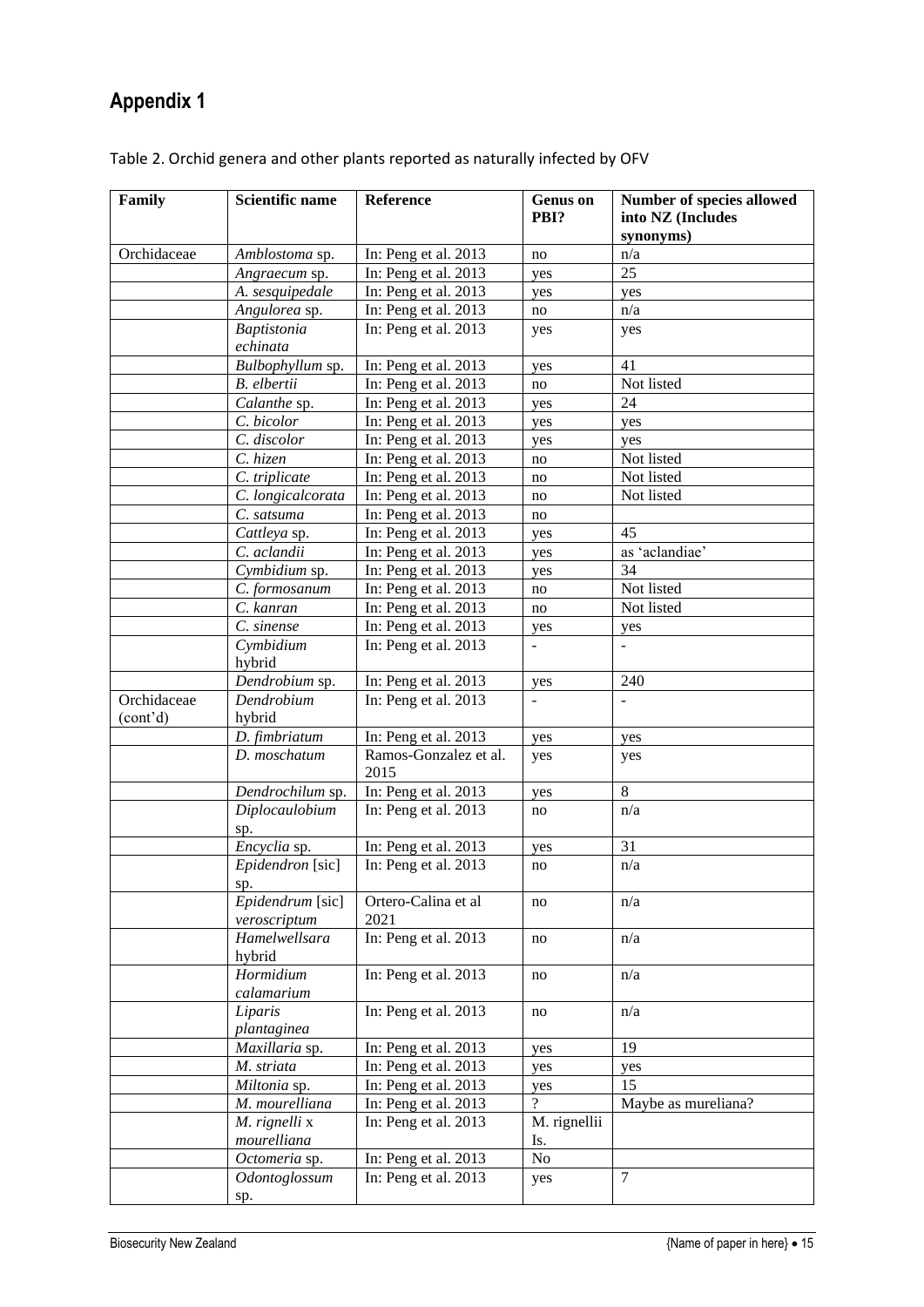# <span id="page-21-0"></span>**Appendix 1**

| Family                  | <b>Scientific name</b>           | Reference                     | <b>Genus</b> on<br>PBI? | Number of species allowed<br>into NZ (Includes<br>synonyms) |
|-------------------------|----------------------------------|-------------------------------|-------------------------|-------------------------------------------------------------|
| Orchidaceae             | Amblostoma sp.                   | In: Peng et al. 2013          | no                      | n/a                                                         |
|                         | Angraecum sp.                    | In: Peng et al. 2013          | yes                     | 25                                                          |
|                         | A. sesquipedale                  | In: Peng et al. 2013          | yes                     | yes                                                         |
|                         | Angulorea sp.                    | In: Peng et al. 2013          | no                      | n/a                                                         |
|                         | <b>Baptistonia</b>               | In: Peng et al. 2013          | yes                     | yes                                                         |
|                         | echinata                         |                               |                         |                                                             |
|                         | Bulbophyllum sp.                 | In: Peng et al. 2013          | yes                     | 41                                                          |
|                         | B. elbertii                      | In: Peng et al. 2013          | no                      | Not listed                                                  |
|                         | Calanthe sp.                     | In: Peng et al. 2013          | yes                     | 24                                                          |
|                         | C. bicolor                       | In: Peng et al. 2013          | yes                     | yes                                                         |
|                         | C. discolor                      | In: Peng et al. 2013          | yes                     | yes                                                         |
|                         | C. hizen                         | In: Peng et al. 2013          | no                      | Not listed                                                  |
|                         | C. triplicate                    | In: Peng et al. 2013          | no                      | Not listed                                                  |
|                         | C. longicalcorata                | In: Peng et al. 2013          | no                      | Not listed                                                  |
|                         | C. satsuma                       | In: Peng et al. 2013          | no                      |                                                             |
|                         | Cattleya sp.                     | In: Peng et al. 2013          | yes                     | 45                                                          |
|                         | C. aclandii                      | In: Peng et al. 2013          | yes                     | as 'aclandiae'                                              |
|                         | Cymbidium sp.                    | In: Peng et al. 2013          | yes                     | 34                                                          |
|                         | C. formosanum                    | In: Peng et al. 2013          | no                      | Not listed                                                  |
|                         | C. kanran                        | In: Peng et al. 2013          | no                      | Not listed                                                  |
|                         | C. sinense                       | In: Peng et al. 2013          | yes                     | yes                                                         |
|                         | Cymbidium<br>hybrid              | In: Peng et al. 2013          | $\overline{a}$          |                                                             |
|                         | Dendrobium sp.                   | In: Peng et al. 2013          | yes                     | 240                                                         |
| Orchidaceae<br>(cont'd) | Dendrobium<br>hybrid             | In: Peng et al. 2013          |                         |                                                             |
|                         | D. fimbriatum                    | In: Peng et al. 2013          | yes                     | yes                                                         |
|                         | D. moschatum                     | Ramos-Gonzalez et al.<br>2015 | yes                     | yes                                                         |
|                         | Dendrochilum sp.                 | In: Peng et al. 2013          | yes                     | 8                                                           |
|                         | Diplocaulobium<br>sp.            | In: Peng et al. 2013          | no                      | n/a                                                         |
|                         | Encyclia sp.                     | In: Peng et al. 2013          | yes                     | 31                                                          |
|                         | Epidendron [sic]<br>sp.          | In: Peng et al. 2013          | no                      | n/a                                                         |
|                         | Epidendrum [sic]<br>veroscriptum | Ortero-Calina et al<br>2021   | no                      | n/a                                                         |
|                         | Hamelwellsara<br>hybrid          | In: Peng et al. 2013          | no                      | n/a                                                         |
|                         | Hormidium<br>calamarium          | In: Peng et al. 2013          | no                      | n/a                                                         |
|                         | Liparis<br>plantaginea           | In: Peng et al. 2013          | no                      | n/a                                                         |
|                         | Maxillaria sp.                   | In: Peng et al. 2013          | yes                     | 19                                                          |
|                         | M. striata                       | In: Peng et al. 2013          | yes                     | yes                                                         |
|                         | Miltonia sp.                     | In: Peng et al. 2013          | yes                     | 15                                                          |
|                         | M. mourelliana                   | In: Peng et al. 2013          | $\gamma$                | Maybe as mureliana?                                         |
|                         | M. rignelli x<br>mourelliana     | In: Peng et al. 2013          | M. rignellii<br>Is.     |                                                             |
|                         | Octomeria sp.                    | In: Peng et al. 2013          | No                      |                                                             |
|                         | Odontoglossum                    | In: Peng et al. 2013          | yes                     | $\tau$                                                      |
|                         | sp.                              |                               |                         |                                                             |

| Table 2. Orchid genera and other plants reported as naturally infected by OFV |  |  |
|-------------------------------------------------------------------------------|--|--|
|-------------------------------------------------------------------------------|--|--|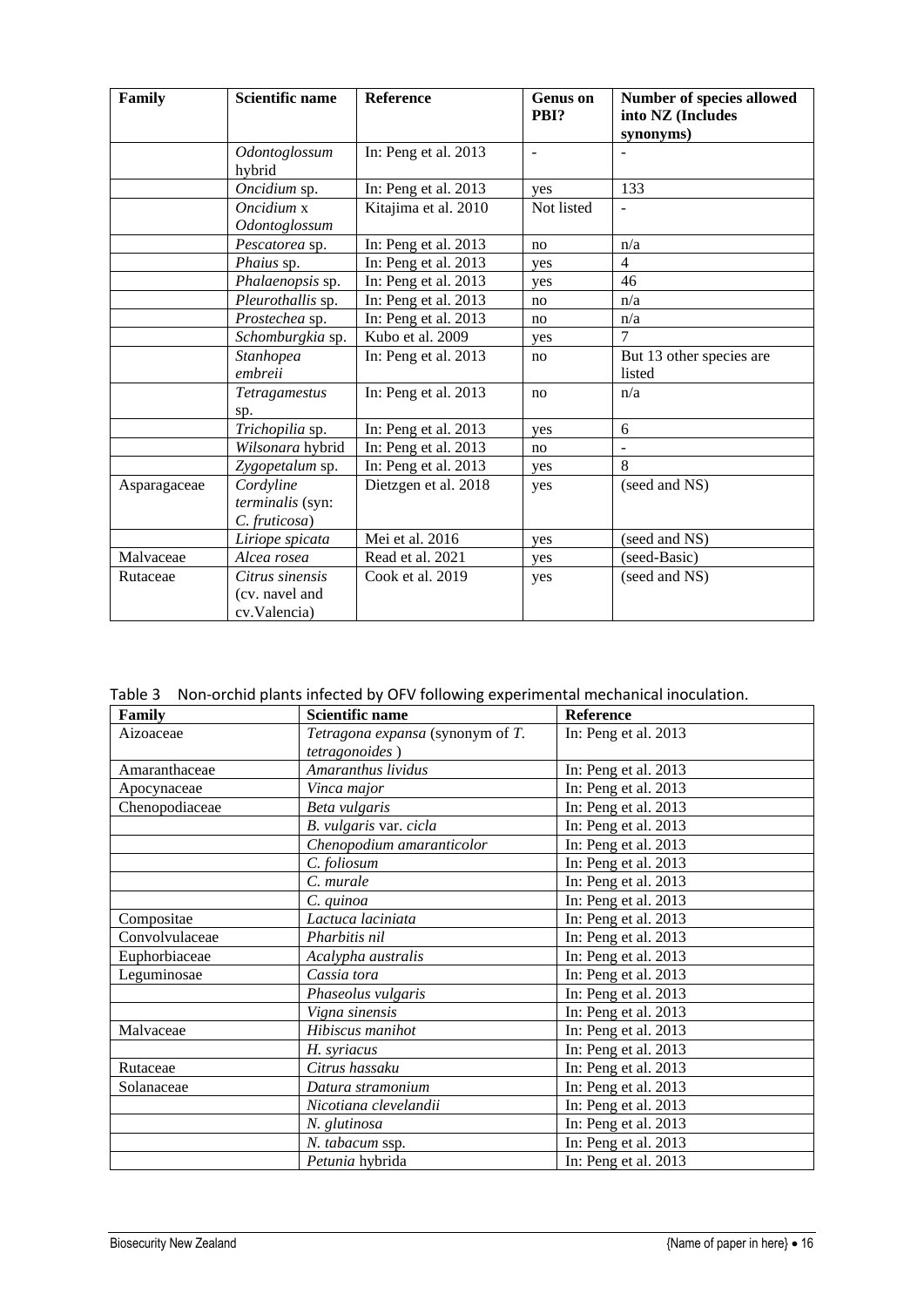| Family       | <b>Scientific name</b>                            | <b>Reference</b>     | <b>Genus</b> on<br>PBI? | Number of species allowed<br>into NZ (Includes<br>synonyms) |
|--------------|---------------------------------------------------|----------------------|-------------------------|-------------------------------------------------------------|
|              | Odontoglossum<br>hybrid                           | In: Peng et al. 2013 | ÷,                      |                                                             |
|              | Oncidium sp.                                      | In: Peng et al. 2013 | yes                     | 133                                                         |
|              | Oncidium x<br>Odontoglossum                       | Kitajima et al. 2010 | Not listed              | $\overline{\phantom{m}}$                                    |
|              | Pescatorea sp.                                    | In: Peng et al. 2013 | no                      | n/a                                                         |
|              | Phaius sp.                                        | In: Peng et al. 2013 | yes                     | $\overline{4}$                                              |
|              | Phalaenopsis sp.                                  | In: Peng et al. 2013 | yes                     | 46                                                          |
|              | Pleurothallis sp.                                 | In: Peng et al. 2013 | no                      | n/a                                                         |
|              | Prostechea sp.                                    | In: Peng et al. 2013 | no                      | n/a                                                         |
|              | Schomburgkia sp.                                  | Kubo et al. 2009     | yes                     | 7                                                           |
|              | Stanhopea<br>embreii                              | In: Peng et al. 2013 | no                      | But 13 other species are<br>listed                          |
|              | Tetragamestus<br>sp.                              | In: Peng et al. 2013 | no                      | n/a                                                         |
|              | Trichopilia sp.                                   | In: Peng et al. 2013 | yes                     | 6                                                           |
|              | Wilsonara hybrid                                  | In: Peng et al. 2013 | no                      | $\overline{a}$                                              |
|              | Zygopetalum sp.                                   | In: Peng et al. 2013 | yes                     | 8                                                           |
| Asparagaceae | Cordyline<br>terminalis (syn:<br>C. fruticosa)    | Dietzgen et al. 2018 | yes                     | (seed and NS)                                               |
|              | Liriope spicata                                   | Mei et al. 2016      | yes                     | (seed and NS)                                               |
| Malvaceae    | Alcea rosea                                       | Read et al. 2021     | yes                     | (seed-Basic)                                                |
| Rutaceae     | Citrus sinensis<br>(cv. navel and<br>cv.Valencia) | Cook et al. 2019     | yes                     | (seed and NS)                                               |

Table 3 Non-orchid plants infected by OFV following experimental mechanical inoculation.

| Family         | <b>Scientific name</b>           | Reference            |
|----------------|----------------------------------|----------------------|
| Aizoaceae      | Tetragona expansa (synonym of T. | In: Peng et al. 2013 |
|                | tetragonoides)                   |                      |
| Amaranthaceae  | Amaranthus lividus               | In: Peng et al. 2013 |
| Apocynaceae    | Vinca major                      | In: Peng et al. 2013 |
| Chenopodiaceae | Beta vulgaris                    | In: Peng et al. 2013 |
|                | B. vulgaris var. cicla           | In: Peng et al. 2013 |
|                | Chenopodium amaranticolor        | In: Peng et al. 2013 |
|                | C. foliosum                      | In: Peng et al. 2013 |
|                | C. murale                        | In: Peng et al. 2013 |
|                | C. quinoa                        | In: Peng et al. 2013 |
| Compositae     | Lactuca laciniata                | In: Peng et al. 2013 |
| Convolvulaceae | Pharbitis nil                    | In: Peng et al. 2013 |
| Euphorbiaceae  | Acalypha australis               | In: Peng et al. 2013 |
| Leguminosae    | Cassia tora                      | In: Peng et al. 2013 |
|                | Phaseolus vulgaris               | In: Peng et al. 2013 |
|                | Vigna sinensis                   | In: Peng et al. 2013 |
| Malvaceae      | Hibiscus manihot                 | In: Peng et al. 2013 |
|                | H. syriacus                      | In: Peng et al. 2013 |
| Rutaceae       | Citrus hassaku                   | In: Peng et al. 2013 |
| Solanaceae     | Datura stramonium                | In: Peng et al. 2013 |
|                | Nicotiana clevelandii            | In: Peng et al. 2013 |
|                | N. glutinosa                     | In: Peng et al. 2013 |
|                | N. tabacum ssp.                  | In: Peng et al. 2013 |
|                | Petunia hybrida                  | In: Peng et al. 2013 |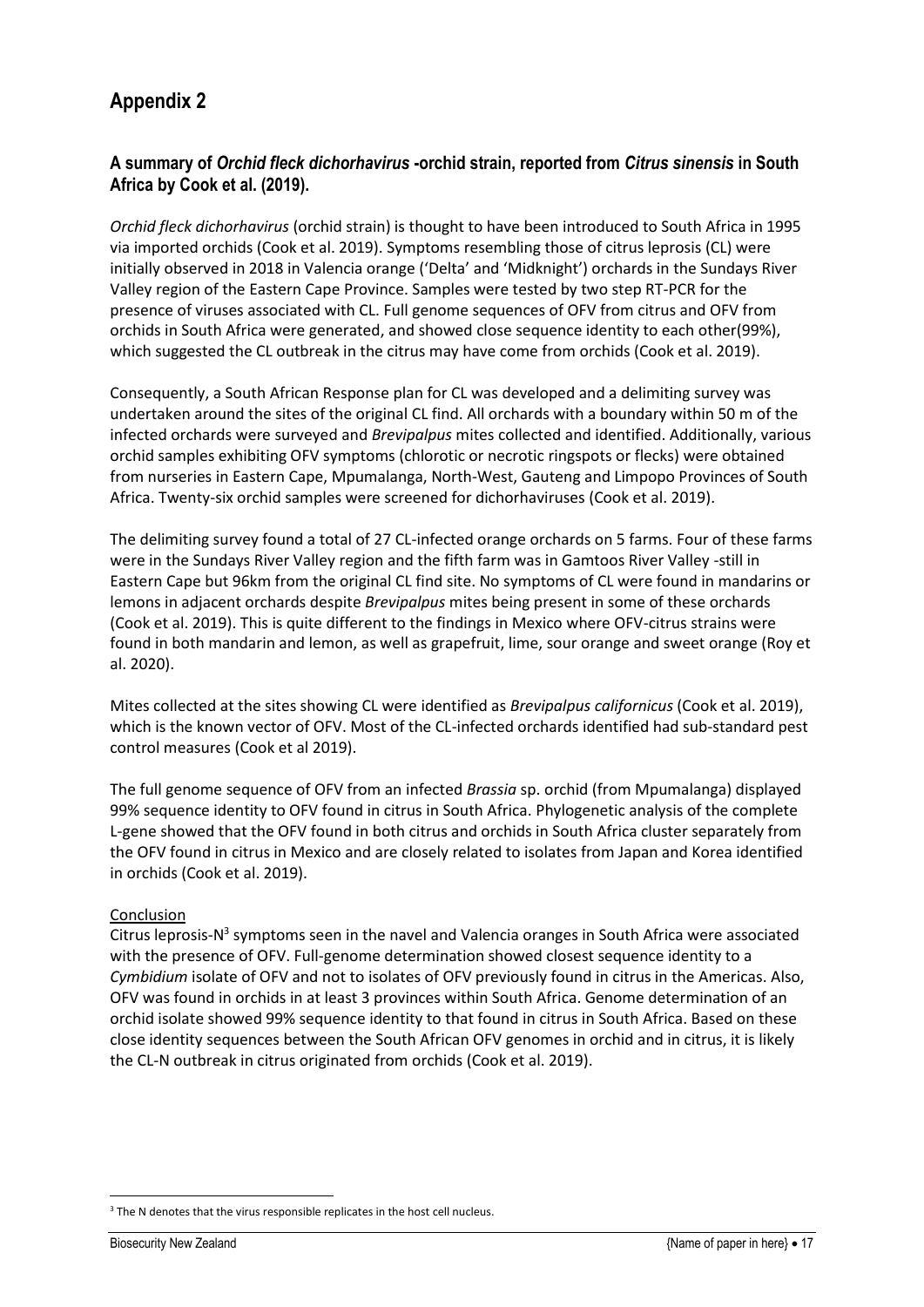# <span id="page-23-0"></span>**Appendix 2**

### **A summary of** *Orchid fleck dichorhavirus* **-orchid strain, reported from** *Citrus sinensis* **in South Africa by Cook et al. (2019).**

*Orchid fleck dichorhavirus* (orchid strain) is thought to have been introduced to South Africa in 1995 via imported orchids (Cook et al. 2019). Symptoms resembling those of citrus leprosis (CL) were initially observed in 2018 in Valencia orange ('Delta' and 'Midknight') orchards in the Sundays River Valley region of the Eastern Cape Province. Samples were tested by two step RT-PCR for the presence of viruses associated with CL. Full genome sequences of OFV from citrus and OFV from orchids in South Africa were generated, and showed close sequence identity to each other(99%), which suggested the CL outbreak in the citrus may have come from orchids (Cook et al. 2019).

Consequently, a South African Response plan for CL was developed and a delimiting survey was undertaken around the sites of the original CL find. All orchards with a boundary within 50 m of the infected orchards were surveyed and *Brevipalpus* mites collected and identified. Additionally, various orchid samples exhibiting OFV symptoms (chlorotic or necrotic ringspots or flecks) were obtained from nurseries in Eastern Cape, Mpumalanga, North-West, Gauteng and Limpopo Provinces of South Africa. Twenty-six orchid samples were screened for dichorhaviruses (Cook et al. 2019).

The delimiting survey found a total of 27 CL-infected orange orchards on 5 farms. Four of these farms were in the Sundays River Valley region and the fifth farm was in Gamtoos River Valley -still in Eastern Cape but 96km from the original CL find site. No symptoms of CL were found in mandarins or lemons in adjacent orchards despite *Brevipalpus* mites being present in some of these orchards (Cook et al. 2019). This is quite different to the findings in Mexico where OFV-citrus strains were found in both mandarin and lemon, as well as grapefruit, lime, sour orange and sweet orange (Roy et al. 2020).

Mites collected at the sites showing CL were identified as *Brevipalpus californicus* (Cook et al. 2019), which is the known vector of OFV. Most of the CL-infected orchards identified had sub-standard pest control measures (Cook et al 2019).

The full genome sequence of OFV from an infected *Brassia* sp. orchid (from Mpumalanga) displayed 99% sequence identity to OFV found in citrus in South Africa. Phylogenetic analysis of the complete L-gene showed that the OFV found in both citrus and orchids in South Africa cluster separately from the OFV found in citrus in Mexico and are closely related to isolates from Japan and Korea identified in orchids (Cook et al. 2019).

#### Conclusion

Citrus leprosis-N<sup>3</sup> symptoms seen in the navel and Valencia oranges in South Africa were associated with the presence of OFV. Full-genome determination showed closest sequence identity to a *Cymbidium* isolate of OFV and not to isolates of OFV previously found in citrus in the Americas. Also, OFV was found in orchids in at least 3 provinces within South Africa. Genome determination of an orchid isolate showed 99% sequence identity to that found in citrus in South Africa. Based on these close identity sequences between the South African OFV genomes in orchid and in citrus, it is likely the CL-N outbreak in citrus originated from orchids (Cook et al. 2019).

<sup>&</sup>lt;sup>3</sup> The N denotes that the virus responsible replicates in the host cell nucleus.